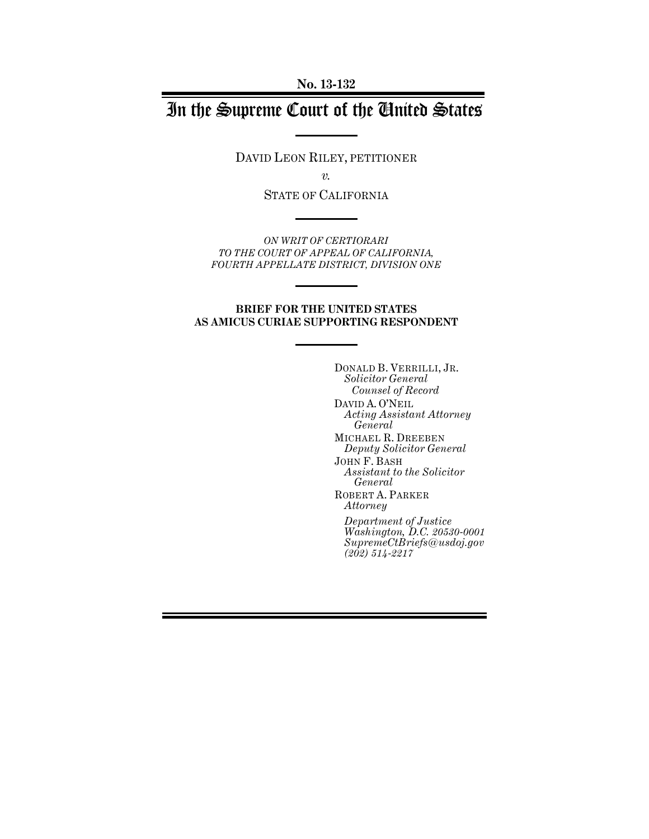# In the Supreme Court of the United States

DAVID LEON RILEY, PETITIONER

*v.* 

STATE OF CALIFORNIA

*ON WRIT OF CERTIORARI TO THE COURT OF APPEAL OF CALIFORNIA, FOURTH APPELLATE DISTRICT, DIVISION ONE* 

#### **BRIEF FOR THE UNITED STATES AS AMICUS CURIAE SUPPORTING RESPONDENT**

DONALD B. VERRILLI, JR. *Solicitor General Counsel of Record*  DAVID A. O'NEIL *Acting Assistant Attorney General*  MICHAEL R. DREEBEN *Deputy Solicitor General*  JOHN F. BASH *Assistant to the Solicitor General*  ROBERT A. PARKER *Attorney Department of Justice Washington, D.C. 20530-0001 SupremeCtBriefs@usdoj.gov (202) 514-2217*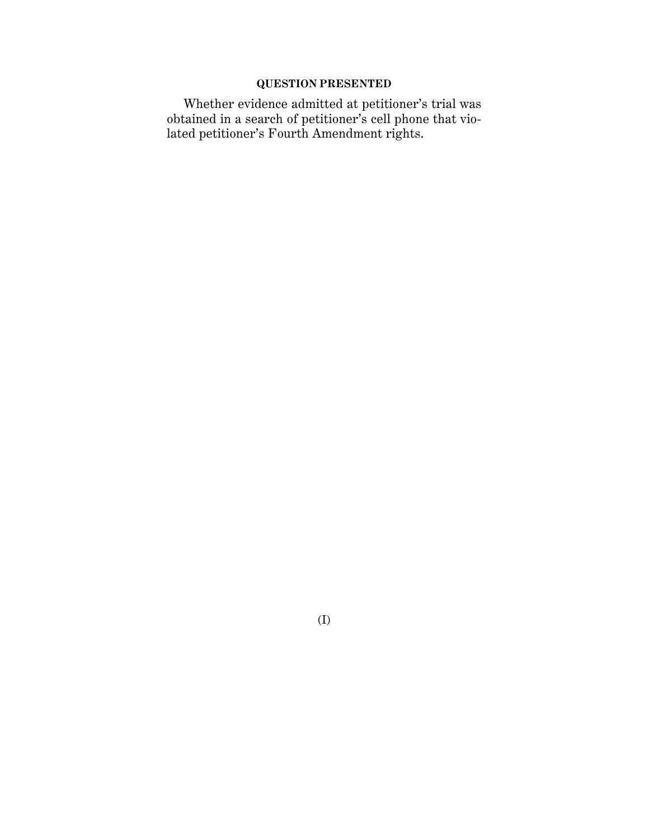## **QUESTION PRESENTED**

Whether evidence admitted at petitioner's trial was obtained in a search of petitioner's cell phone that violated petitioner's Fourth Amendment rights.

(I)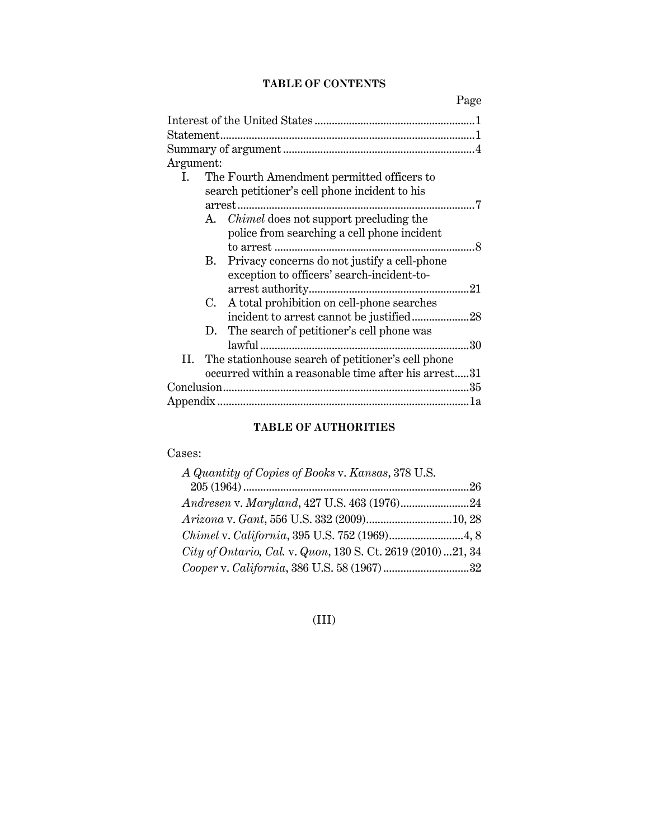#### **TABLE OF CONTENTS**

Page

| Argument:                                                  |
|------------------------------------------------------------|
| The Fourth Amendment permitted officers to<br>Ι.           |
| search petitioner's cell phone incident to his             |
|                                                            |
| A. <i>Chimel</i> does not support precluding the           |
| police from searching a cell phone incident                |
|                                                            |
| Privacy concerns do not justify a cell-phone<br>В.         |
| exception to officers' search-incident-to-                 |
|                                                            |
| A total prohibition on cell-phone searches<br>C.           |
|                                                            |
| The search of petitioner's cell phone was<br>D.            |
| 30                                                         |
| The station house search of petitioner's cell phone<br>II. |
| occurred within a reasonable time after his arrest31       |
|                                                            |
|                                                            |

#### **TABLE OF AUTHORITIES**

#### Cases:

| A Quantity of Copies of Books v. Kansas, 378 U.S.            |  |
|--------------------------------------------------------------|--|
|                                                              |  |
|                                                              |  |
| Arizona v. Gant, 556 U.S. 332 (2009) 10, 28                  |  |
|                                                              |  |
| City of Ontario, Cal. v. Quon, 130 S. Ct. 2619 (2010) 21, 34 |  |
|                                                              |  |

## (III)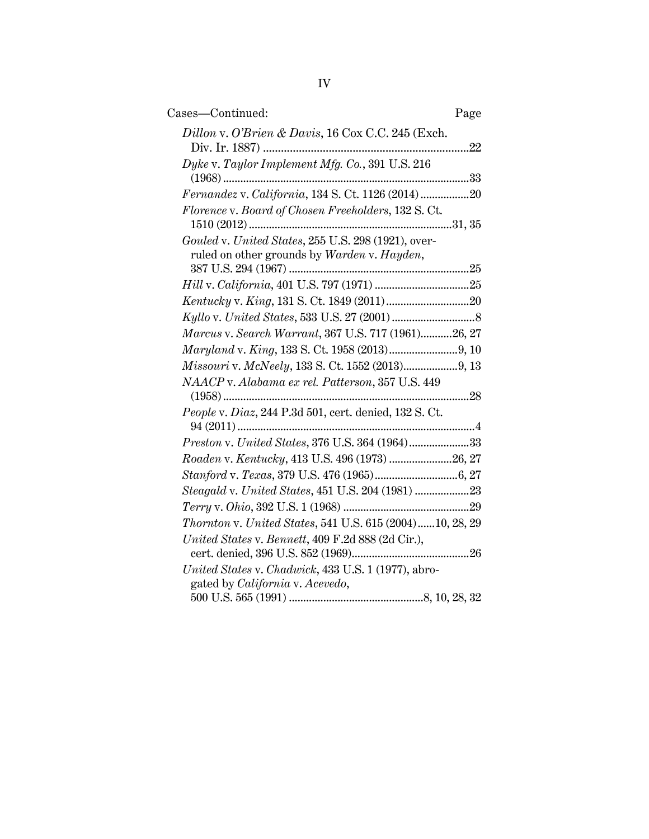| Cases—Continued:                                                                                   | Page |
|----------------------------------------------------------------------------------------------------|------|
| Dillon v. O'Brien & Davis, 16 Cox C.C. 245 (Exch.                                                  |      |
| Dyke v. Taylor Implement Mfg. Co., 391 U.S. 216                                                    |      |
| Fernandez v. California, 134 S. Ct. 1126 (2014)20                                                  |      |
| Florence v. Board of Chosen Freeholders, 132 S.Ct.                                                 |      |
| Gouled v. United States, 255 U.S. 298 (1921), over-<br>ruled on other grounds by Warden v. Hayden, |      |
|                                                                                                    |      |
|                                                                                                    |      |
|                                                                                                    |      |
|                                                                                                    |      |
| Marcus v. Search Warrant, 367 U.S. 717 (1961)26, 27                                                |      |
|                                                                                                    |      |
|                                                                                                    |      |
| NAACP v. Alabama ex rel. Patterson, 357 U.S. 449                                                   |      |
| People v. Diaz, 244 P.3d 501, cert. denied, 132 S. Ct.                                             |      |
| Preston v. United States, 376 U.S. 364 (1964)33                                                    |      |
| Roaden v. Kentucky, 413 U.S. 496 (1973) 26, 27                                                     |      |
|                                                                                                    |      |
| Steagald v. United States, 451 U.S. 204 (1981) 23                                                  |      |
|                                                                                                    |      |
| Thornton v. United States, 541 U.S. 615 (2004)10, 28, 29                                           |      |
| United States v. Bennett, 409 F.2d 888 (2d Cir.),                                                  |      |
| United States v. Chadwick, 433 U.S. 1 (1977), abro-                                                |      |
| gated by California v. Acevedo,                                                                    |      |
|                                                                                                    |      |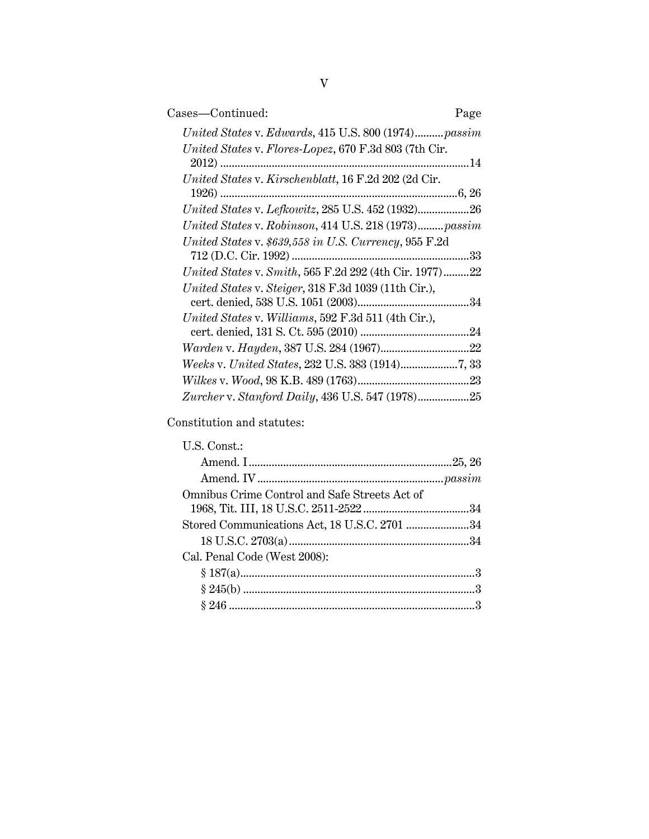| Cases—Continued:                                       | Page |
|--------------------------------------------------------|------|
| United States v. Edwards, 415 U.S. 800 (1974) passim   |      |
| United States v. Flores-Lopez, 670 F.3d 803 (7th Cir.  |      |
| United States v. Kirschenblatt, 16 F.2d 202 (2d Cir.   |      |
| United States v. Lefkowitz, 285 U.S. 452 (1932)26      |      |
| United States v. Robinson, 414 U.S. 218 (1973) passim  |      |
| United States v. \$639,558 in U.S. Currency, 955 F.2d  |      |
| United States v. Smith, 565 F.2d 292 (4th Cir. 1977)22 |      |
| United States v. Steiger, 318 F.3d 1039 (11th Cir.),   |      |
| United States v. Williams, 592 F.3d 511 (4th Cir.),    |      |
|                                                        |      |
|                                                        |      |
|                                                        |      |
|                                                        |      |

Constitution and statutes:

| U.S. Const.:                                  |  |
|-----------------------------------------------|--|
|                                               |  |
|                                               |  |
| Omnibus Crime Control and Safe Streets Act of |  |
| Stored Communications Act, 18 U.S.C. 2701 34  |  |
|                                               |  |
| Cal. Penal Code (West 2008):                  |  |
|                                               |  |
|                                               |  |
|                                               |  |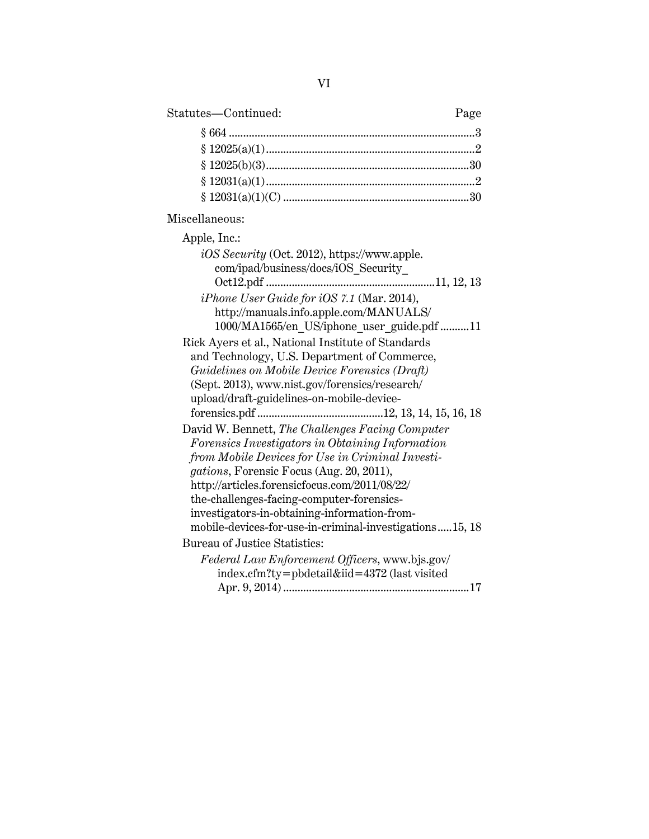# Statutes—Continued: Page

## Miscellaneous:

| Apple, Inc.:                                            |
|---------------------------------------------------------|
| <i>iOS Security</i> (Oct. 2012), https://www.apple.     |
| com/ipad/business/docs/iOS Security                     |
|                                                         |
| <i>iPhone User Guide for iOS 7.1</i> (Mar. 2014),       |
| http://manuals.info.apple.com/MANUALS/                  |
| 1000/MA1565/en US/iphone user guide.pdf11               |
| Rick Ayers et al., National Institute of Standards      |
| and Technology, U.S. Department of Commerce,            |
| Guidelines on Mobile Device Forensics (Draft)           |
| (Sept. 2013), www.nist.gov/forensics/research/          |
| upload/draft-guidelines-on-mobile-device-               |
|                                                         |
| David W. Bennett, The Challenges Facing Computer        |
| Forensics Investigators in Obtaining Information        |
| from Mobile Devices for Use in Criminal Investi-        |
| gations, Forensic Focus (Aug. 20, 2011),                |
| http://articles.forensicfocus.com/2011/08/22/           |
| the-challenges-facing-computer-forensics-               |
| investigators-in-obtaining-information-from-            |
| mobile-devices-for-use-in-criminal-investigations15, 18 |
| Bureau of Justice Statistics:                           |
| Federal Law Enforcement Officers, www.bjs.gov/          |
| index.cfm?ty=pbdetail&iid=4372 (last visited            |
|                                                         |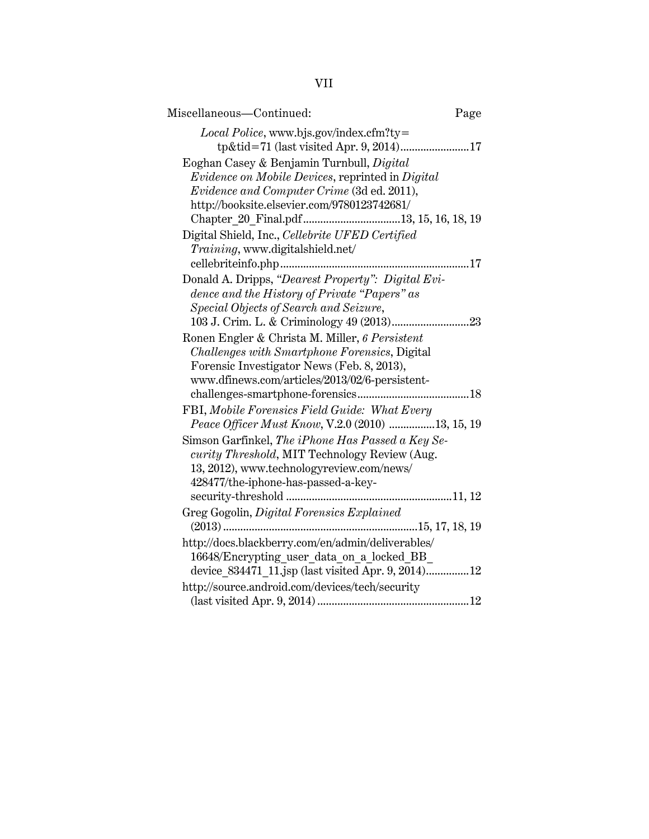| Miscellaneous-Continued:                                                                                                                                                                                                                                                                | Page |
|-----------------------------------------------------------------------------------------------------------------------------------------------------------------------------------------------------------------------------------------------------------------------------------------|------|
| $Local \, Police, \,www.bjs.gov/index.cfm?ty=$<br>tp&tid=71 (last visited Apr. 9, 2014)17<br>Eoghan Casey & Benjamin Turnbull, Digital<br>Evidence on Mobile Devices, reprinted in Digital<br>Evidence and Computer Crime (3d ed. 2011),<br>http://booksite.elsevier.com/9780123742681/ |      |
| Digital Shield, Inc., Cellebrite UFED Certified<br>Training, www.digitalshield.net/                                                                                                                                                                                                     |      |
| Donald A. Dripps, "Dearest Property": Digital Evi-<br>dence and the History of Private "Papers" as<br>Special Objects of Search and Seizure,                                                                                                                                            |      |
| Ronen Engler & Christa M. Miller, 6 Persistent<br>Challenges with Smartphone Forensics, Digital<br>Forensic Investigator News (Feb. 8, 2013),<br>www.dfinews.com/articles/2013/02/6-persistent-                                                                                         |      |
| FBI, Mobile Forensics Field Guide: What Every<br>Peace Officer Must Know, V.2.0 (2010) 13, 15, 19                                                                                                                                                                                       |      |
| Simson Garfinkel, The iPhone Has Passed a Key Se-<br>curity Threshold, MIT Technology Review (Aug.<br>13, 2012), www.technologyreview.com/news/<br>428477/the-iphone-has-passed-a-key-                                                                                                  |      |
| Greg Gogolin, Digital Forensics Explained<br>15, 17, 18, 19<br>$(2013)$                                                                                                                                                                                                                 |      |
| http://docs.blackberry.com/en/admin/deliverables/<br>16648/Encrypting user data on a locked BB<br>device 834471 11.jsp (last visited Apr. 9, 2014)12                                                                                                                                    |      |
| http://source.android.com/devices/tech/security                                                                                                                                                                                                                                         |      |

# VII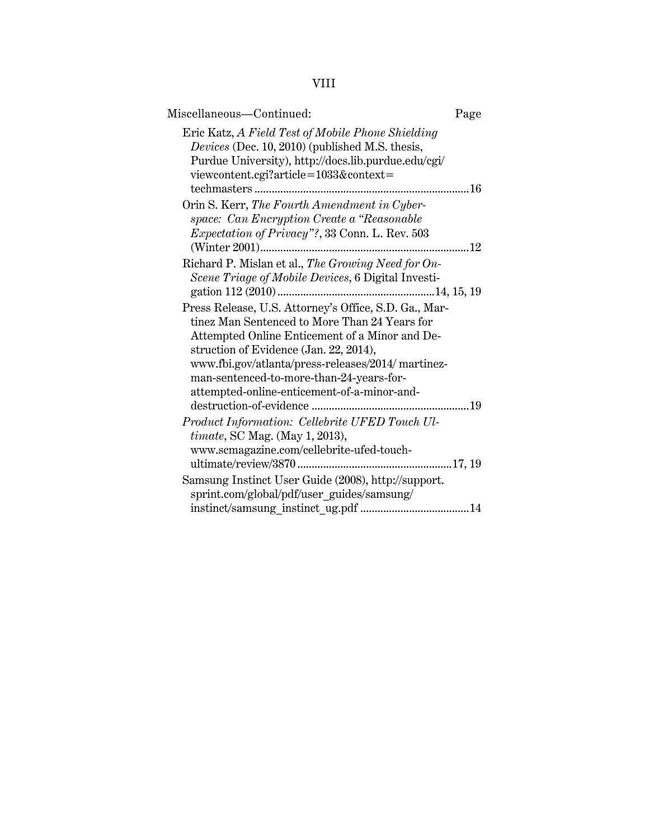| Miscellaneous-Continued:                                                                                                                                                                                                                                                                   | Page |
|--------------------------------------------------------------------------------------------------------------------------------------------------------------------------------------------------------------------------------------------------------------------------------------------|------|
| Eric Katz, A Field Test of Mobile Phone Shielding<br>Devices (Dec. 10, 2010) (published M.S. thesis,<br>Purdue University), http://docs.lib.purdue.edu/cgi/<br>viewcontent.cgi?article=1033&context=                                                                                       |      |
|                                                                                                                                                                                                                                                                                            |      |
| Orin S. Kerr, The Fourth Amendment in Cyber-<br>space: Can Encryption Create a "Reasonable"<br><i>Expectation of Privacy"?</i> , 33 Conn. L. Rev. 503                                                                                                                                      |      |
|                                                                                                                                                                                                                                                                                            |      |
| Richard P. Mislan et al., The Growing Need for On-<br>Scene Triage of Mobile Devices, 6 Digital Investi-                                                                                                                                                                                   |      |
| Press Release, U.S. Attorney's Office, S.D. Ga., Mar-                                                                                                                                                                                                                                      |      |
| tinez Man Sentenced to More Than 24 Years for<br>Attempted Online Enticement of a Minor and De-<br>struction of Evidence (Jan. 22, 2014),<br>www.fbi.gov/atlanta/press-releases/2014/ martinez-<br>man-sentenced-to-more-than-24-years-for-<br>attempted-online-enticement-of-a-minor-and- |      |
| Product Information: Cellebrite UFED Touch Ul-                                                                                                                                                                                                                                             |      |
| $timate$ , SC Mag. (May 1, 2013),<br>www.scmagazine.com/cellebrite-ufed-touch-                                                                                                                                                                                                             |      |
| Samsung Instinct User Guide (2008), http://support.<br>sprint.com/global/pdf/user guides/samsung/                                                                                                                                                                                          |      |
|                                                                                                                                                                                                                                                                                            |      |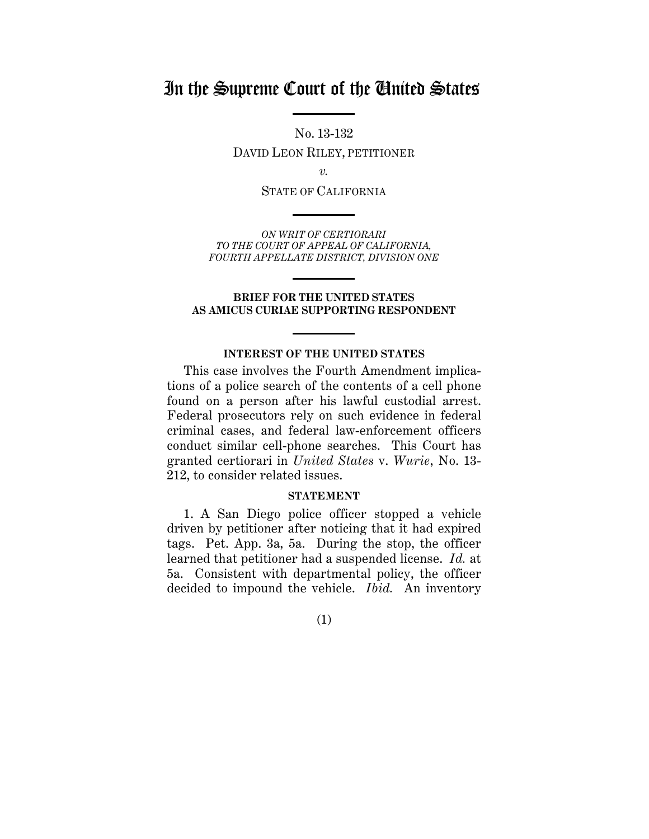# In the Supreme Court of the United States

No. 13-132 DAVID LEON RILEY, PETITIONER

*v.* 

STATE OF CALIFORNIA

*ON WRIT OF CERTIORARI TO THE COURT OF APPEAL OF CALIFORNIA, FOURTH APPELLATE DISTRICT, DIVISION ONE* 

#### **BRIEF FOR THE UNITED STATES AS AMICUS CURIAE SUPPORTING RESPONDENT**

### **INTEREST OF THE UNITED STATES**

This case involves the Fourth Amendment implications of a police search of the contents of a cell phone found on a person after his lawful custodial arrest. Federal prosecutors rely on such evidence in federal criminal cases, and federal law-enforcement officers conduct similar cell-phone searches. This Court has granted certiorari in *United States* v. *Wurie*, No. 13- 212, to consider related issues.

#### **STATEMENT**

1. A San Diego police officer stopped a vehicle driven by petitioner after noticing that it had expired tags. Pet. App. 3a, 5a. During the stop, the officer learned that petitioner had a suspended license. *Id.* at 5a. Consistent with departmental policy, the officer decided to impound the vehicle. *Ibid.* An inventory

(1)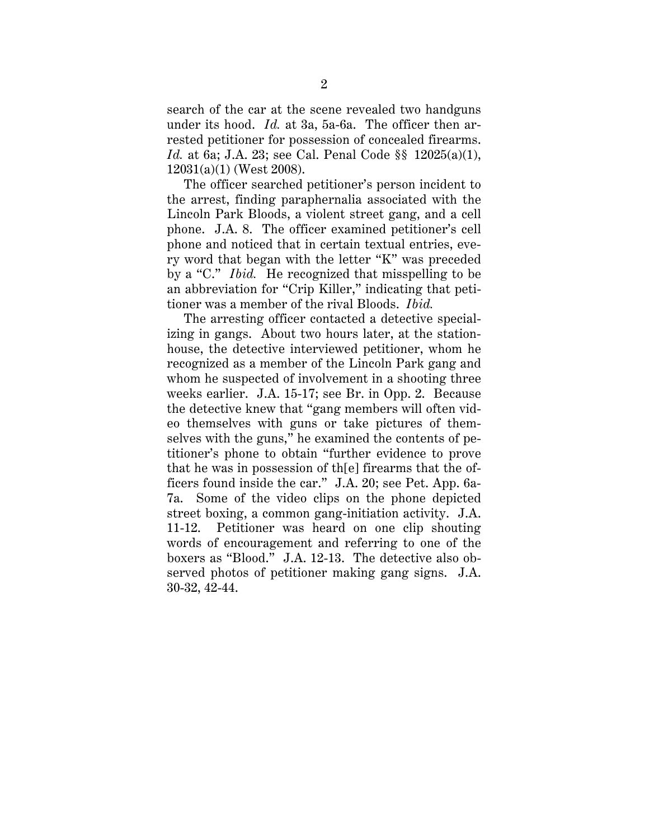rested petitioner for possession of concealed firearms. search of the car at the scene revealed two handguns under its hood. *Id.* at 3a, 5a-6a. The officer then ar-*Id.* at 6a; J.A. 23; see Cal. Penal Code §§ 12025(a)(1), 12031(a)(1) (West 2008).

 by a "C." *Ibid.* He recognized that misspelling to be The officer searched petitioner's person incident to the arrest, finding paraphernalia associated with the Lincoln Park Bloods, a violent street gang, and a cell phone. J.A. 8. The officer examined petitioner's cell phone and noticed that in certain textual entries, every word that began with the letter "K" was preceded an abbreviation for "Crip Killer," indicating that petitioner was a member of the rival Bloods. *Ibid.* 

 ficers found inside the car." J.A. 20; see Pet. App. 6a-The arresting officer contacted a detective specializing in gangs. About two hours later, at the stationhouse, the detective interviewed petitioner, whom he recognized as a member of the Lincoln Park gang and whom he suspected of involvement in a shooting three weeks earlier. J.A. 15-17; see Br. in Opp. 2. Because the detective knew that "gang members will often video themselves with guns or take pictures of themselves with the guns," he examined the contents of petitioner's phone to obtain "further evidence to prove that he was in possession of th[e] firearms that the of-7a. Some of the video clips on the phone depicted street boxing, a common gang-initiation activity. J.A. 11-12. Petitioner was heard on one clip shouting words of encouragement and referring to one of the boxers as "Blood." J.A. 12-13. The detective also observed photos of petitioner making gang signs. J.A. 30-32, 42-44.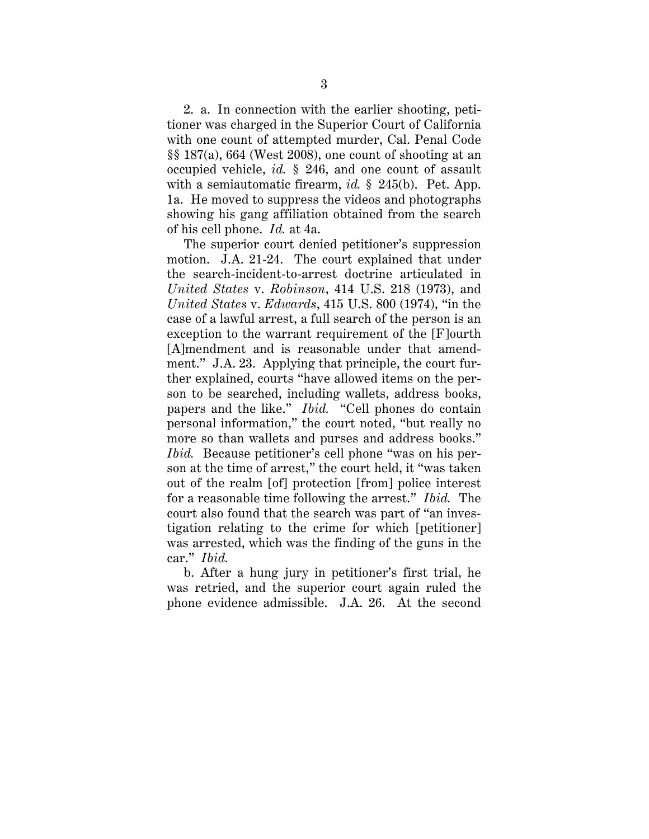<span id="page-10-0"></span> of his cell phone. *Id.* at 4a. 2. a. In connection with the earlier shooting, petitioner was charged in the Superior Court of California with one count of attempted murder, Cal. Penal Code §§ 187(a), 664 (West 2008), one count of shooting at an occupied vehicle, *id.* § 246, and one count of assault with a semiautomatic firearm, *id.* § 245(b). Pet. App. 1a. He moved to suppress the videos and photographs showing his gang affiliation obtained from the search

 car." *Ibid.* The superior court denied petitioner's suppression motion. J.A. 21-24. The court explained that under the search-incident-to-arrest doctrine articulated in *United States* v. *Robinson*, 414 U.S. 218 (1973), and *United States* v. *Edwards*, 415 U.S. 800 (1974), "in the case of a lawful arrest, a full search of the person is an exception to the warrant requirement of the [F]ourth [A]mendment and is reasonable under that amendment." J.A. 23. Applying that principle, the court further explained, courts "have allowed items on the person to be searched, including wallets, address books, papers and the like." *Ibid.* "Cell phones do contain personal information," the court noted, "but really no more so than wallets and purses and address books." *Ibid.* Because petitioner's cell phone "was on his person at the time of arrest," the court held, it "was taken out of the realm [of] protection [from] police interest for a reasonable time following the arrest." *Ibid.* The court also found that the search was part of "an investigation relating to the crime for which [petitioner] was arrested, which was the finding of the guns in the

b. After a hung jury in petitioner's first trial, he was retried, and the superior court again ruled the phone evidence admissible. J.A. 26. At the second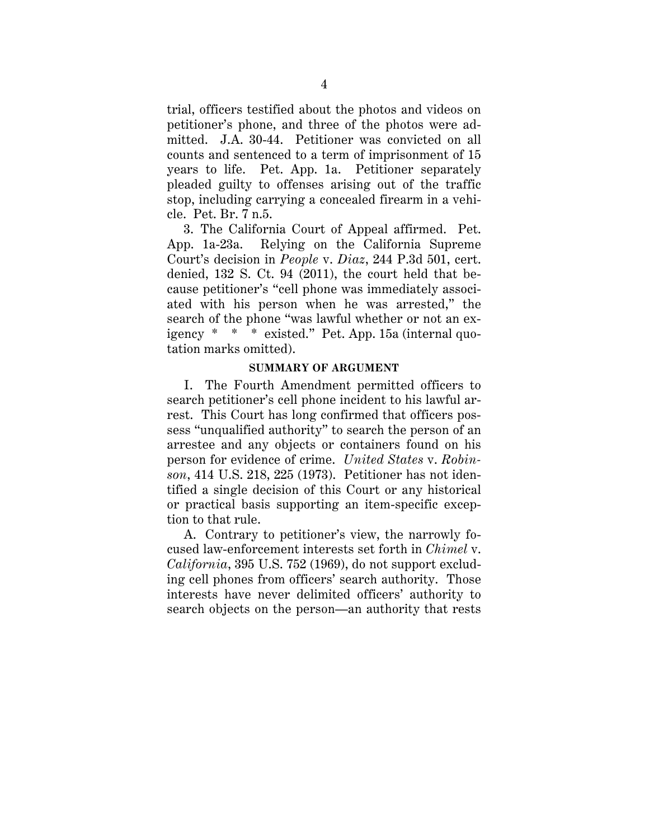<span id="page-11-0"></span>trial, officers testified about the photos and videos on petitioner's phone, and three of the photos were admitted. J.A. 30-44. Petitioner was convicted on all counts and sentenced to a term of imprisonment of 15 years to life. Pet. App. 1a. Petitioner separately pleaded guilty to offenses arising out of the traffic stop, including carrying a concealed firearm in a vehicle. Pet. Br. 7 n.5.

 igency \* \* \* existed." Pet. App. 15a (internal quo-3. The California Court of Appeal affirmed. Pet. App. 1a-23a. Relying on the California Supreme Court's decision in *People* v. *Diaz*, 244 P.3d 501, cert. denied, 132 S. Ct. 94 (2011), the court held that because petitioner's "cell phone was immediately associated with his person when he was arrested," the search of the phone "was lawful whether or not an extation marks omitted).

### **SUMMARY OF ARGUMENT**

I. The Fourth Amendment permitted officers to search petitioner's cell phone incident to his lawful arrest. This Court has long confirmed that officers possess "unqualified authority" to search the person of an arrestee and any objects or containers found on his person for evidence of crime. *United States* v. *Robinson*, 414 U.S. 218, 225 (1973). Petitioner has not identified a single decision of this Court or any historical or practical basis supporting an item-specific exception to that rule.

A. Contrary to petitioner's view, the narrowly focused law-enforcement interests set forth in *Chimel* v. *California*, 395 U.S. 752 (1969), do not support excluding cell phones from officers' search authority. Those interests have never delimited officers' authority to search objects on the person—an authority that rests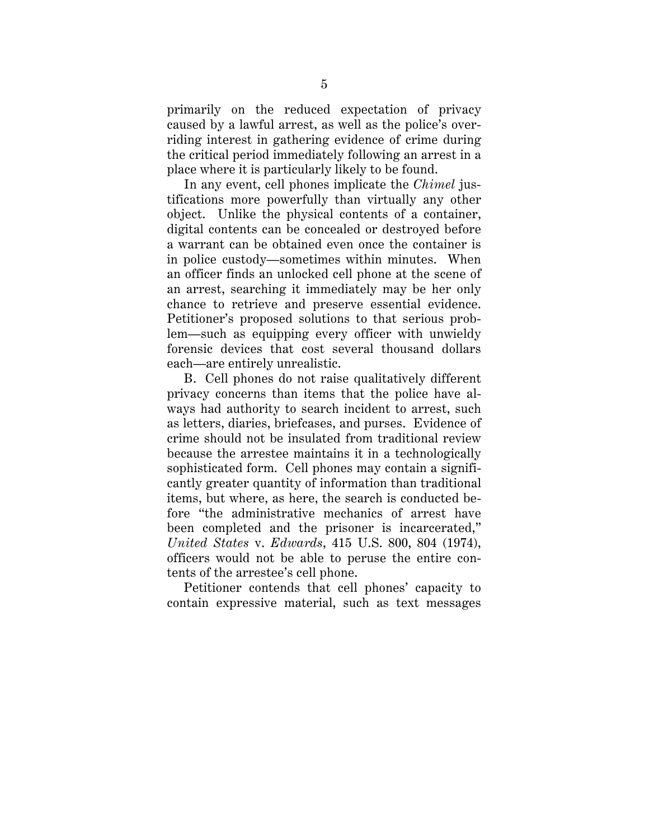primarily on the reduced expectation of privacy caused by a lawful arrest, as well as the police's overriding interest in gathering evidence of crime during the critical period immediately following an arrest in a place where it is particularly likely to be found.

In any event, cell phones implicate the *Chimel* justifications more powerfully than virtually any other object. Unlike the physical contents of a container, digital contents can be concealed or destroyed before a warrant can be obtained even once the container is in police custody—sometimes within minutes. When an officer finds an unlocked cell phone at the scene of an arrest, searching it immediately may be her only chance to retrieve and preserve essential evidence. Petitioner's proposed solutions to that serious problem—such as equipping every officer with unwieldy forensic devices that cost several thousand dollars each—are entirely unrealistic.

B. Cell phones do not raise qualitatively different privacy concerns than items that the police have always had authority to search incident to arrest, such as letters, diaries, briefcases, and purses. Evidence of crime should not be insulated from traditional review because the arrestee maintains it in a technologically sophisticated form. Cell phones may contain a significantly greater quantity of information than traditional items, but where, as here, the search is conducted before "the administrative mechanics of arrest have been completed and the prisoner is incarcerated," *United States* v. *Edwards*, 415 U.S. 800, 804 (1974), officers would not be able to peruse the entire contents of the arrestee's cell phone.

Petitioner contends that cell phones' capacity to contain expressive material, such as text messages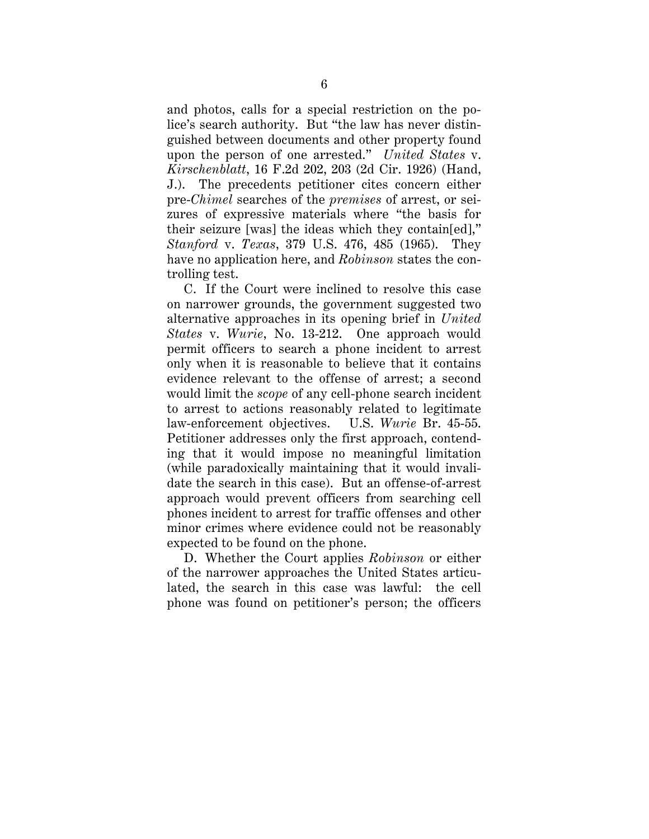and photos, calls for a special restriction on the police's search authority. But "the law has never distinguished between documents and other property found upon the person of one arrested." *United States* v. *Kirschenblatt*, 16 F.2d 202, 203 (2d Cir. 1926) (Hand, J.). The precedents petitioner cites concern either pre-*Chimel* searches of the *premises* of arrest, or seizures of expressive materials where "the basis for their seizure [was] the ideas which they contain[ed]," *Stanford* v. *Texas*, 379 U.S. 476, 485 (1965). They have no application here, and *Robinson* states the controlling test.

C. If the Court were inclined to resolve this case on narrower grounds, the government suggested two alternative approaches in its opening brief in *United States* v. *Wurie*, No. 13-212. One approach would permit officers to search a phone incident to arrest only when it is reasonable to believe that it contains evidence relevant to the offense of arrest; a second would limit the *scope* of any cell-phone search incident to arrest to actions reasonably related to legitimate law-enforcement objectives. U.S. *Wurie* Br. 45-55. Petitioner addresses only the first approach, contending that it would impose no meaningful limitation (while paradoxically maintaining that it would invalidate the search in this case). But an offense-of-arrest approach would prevent officers from searching cell phones incident to arrest for traffic offenses and other minor crimes where evidence could not be reasonably expected to be found on the phone.

D. Whether the Court applies *Robinson* or either of the narrower approaches the United States articulated, the search in this case was lawful: the cell phone was found on petitioner's person; the officers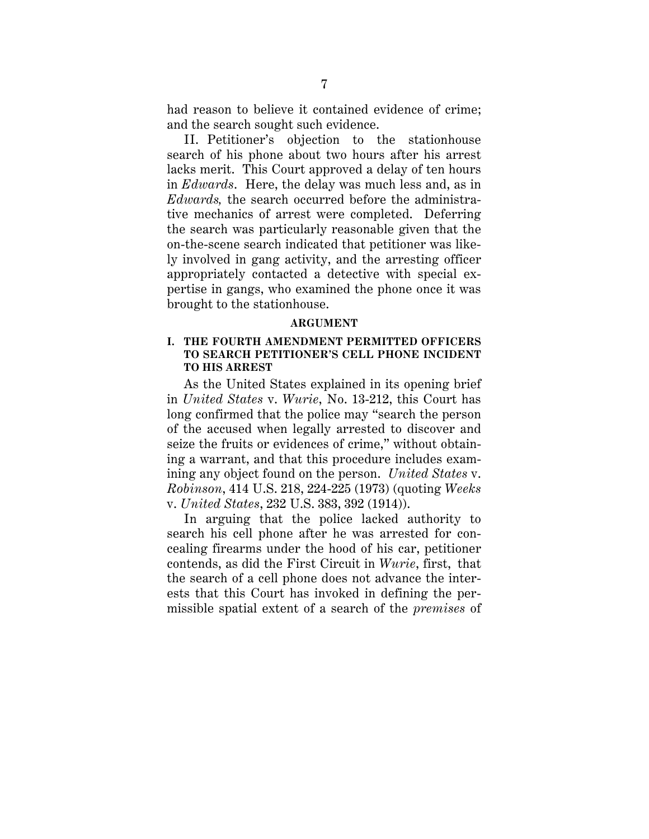<span id="page-14-0"></span>had reason to believe it contained evidence of crime; and the search sought such evidence.

 II. Petitioner's objection to the stationhouse brought to the stationhouse. search of his phone about two hours after his arrest lacks merit. This Court approved a delay of ten hours in *Edwards*. Here, the delay was much less and, as in *Edwards,* the search occurred before the administrative mechanics of arrest were completed. Deferring the search was particularly reasonable given that the on-the-scene search indicated that petitioner was likely involved in gang activity, and the arresting officer appropriately contacted a detective with special expertise in gangs, who examined the phone once it was

#### **ARGUMENT**

### **I. THE FOURTH AMENDMENT PERMITTED OFFICERS TO SEARCH PETITIONER'S CELL PHONE INCIDENT TO HIS ARREST**

As the United States explained in its opening brief in *United States* v. *Wurie*, No. 13-212, this Court has long confirmed that the police may "search the person of the accused when legally arrested to discover and seize the fruits or evidences of crime," without obtaining a warrant, and that this procedure includes examining any object found on the person. *United States* v. *Robinson*, 414 U.S. 218, 224-225 (1973) (quoting *Weeks*  v. *United States*, 232 U.S. 383, 392 (1914)).

 contends, as did the First Circuit in *Wurie*, first, that In arguing that the police lacked authority to search his cell phone after he was arrested for concealing firearms under the hood of his car, petitioner the search of a cell phone does not advance the interests that this Court has invoked in defining the permissible spatial extent of a search of the *premises* of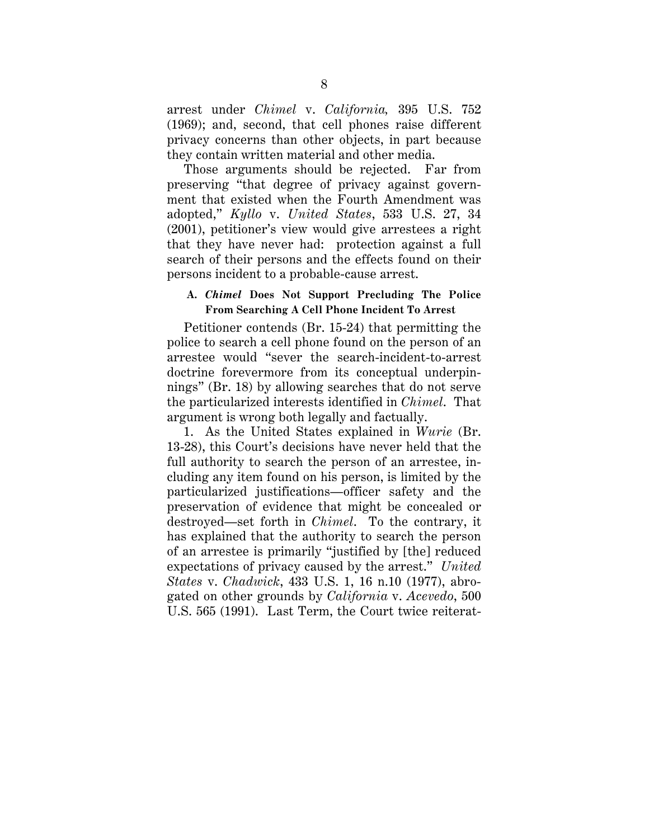<span id="page-15-0"></span>arrest under *Chimel* v. *California,* 395 U.S. 752 (1969); and, second, that cell phones raise different privacy concerns than other objects, in part because they contain written material and other media.

Those arguments should be rejected. Far from preserving "that degree of privacy against government that existed when the Fourth Amendment was adopted," *Kyllo* v. *United States*, 533 U.S. 27, 34 (2001), petitioner's view would give arrestees a right that they have never had: protection against a full search of their persons and the effects found on their persons incident to a probable-cause arrest.

### **From Searching A Cell Phone Incident To Arrest A.** *Chimel* **Does Not Support Precluding The Police**

 Petitioner contends (Br. 15-24) that permitting the police to search a cell phone found on the person of an arrestee would "sever the search-incident-to-arrest doctrine forevermore from its conceptual underpinnings" (Br. 18) by allowing searches that do not serve the particularized interests identified in *Chimel*. That argument is wrong both legally and factually.

1. As the United States explained in *Wurie* (Br. 13-28), this Court's decisions have never held that the full authority to search the person of an arrestee, including any item found on his person, is limited by the particularized justifications—officer safety and the preservation of evidence that might be concealed or destroyed—set forth in *Chimel*. To the contrary, it has explained that the authority to search the person of an arrestee is primarily "justified by [the] reduced expectations of privacy caused by the arrest." *United States* v. *Chadwick*, 433 U.S. 1, 16 n.10 (1977), abrogated on other grounds by *California* v. *Acevedo*, 500 U.S. 565 (1991). Last Term, the Court twice reiterat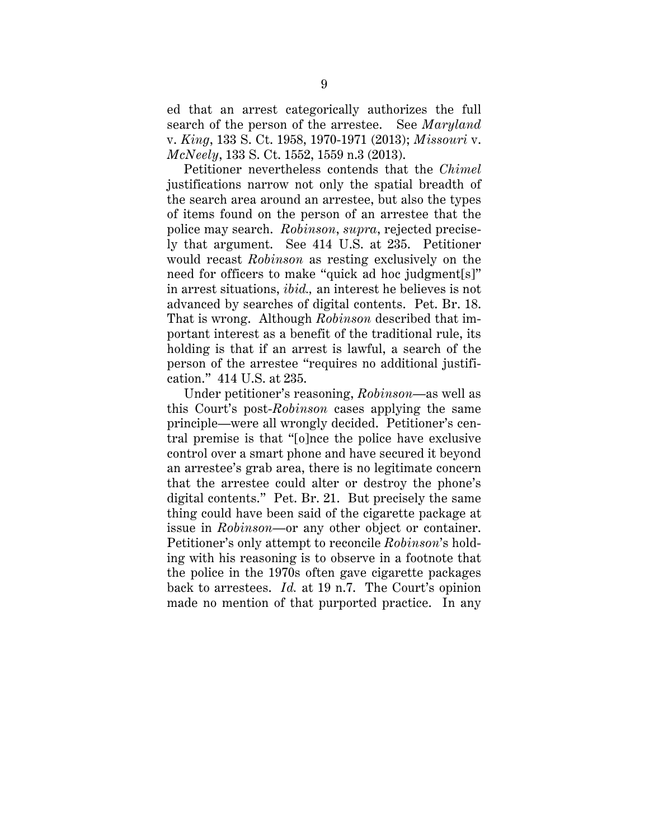ed that an arrest categorically authorizes the full search of the person of the arrestee. See *Maryland*  v. *King*, 133 S. Ct. 1958, 1970-1971 (2013); *Missouri* v. *McNeely*, 133 S. Ct. 1552, 1559 n.3 (2013).

 Petitioner nevertheless contends that the *Chimel*  justifications narrow not only the spatial breadth of the search area around an arrestee, but also the types of items found on the person of an arrestee that the police may search. *Robinson*, *supra*, rejected precisely that argument. See 414 U.S. at 235. Petitioner would recast *Robinson* as resting exclusively on the need for officers to make "quick ad hoc judgment[s]" in arrest situations, *ibid.,* an interest he believes is not advanced by searches of digital contents. Pet. Br. 18. That is wrong. Although *Robinson* described that important interest as a benefit of the traditional rule, its holding is that if an arrest is lawful, a search of the person of the arrestee "requires no additional justification." 414 U.S. at 235.

 back to arrestees. *Id.* at 19 n.7. The Court's opinion Under petitioner's reasoning, *Robinson*—as well as this Court's post-*Robinson* cases applying the same principle—were all wrongly decided. Petitioner's central premise is that "[o]nce the police have exclusive control over a smart phone and have secured it beyond an arrestee's grab area, there is no legitimate concern that the arrestee could alter or destroy the phone's digital contents." Pet. Br. 21. But precisely the same thing could have been said of the cigarette package at issue in *Robinson*—or any other object or container. Petitioner's only attempt to reconcile *Robinson*'s holding with his reasoning is to observe in a footnote that the police in the 1970s often gave cigarette packages made no mention of that purported practice. In any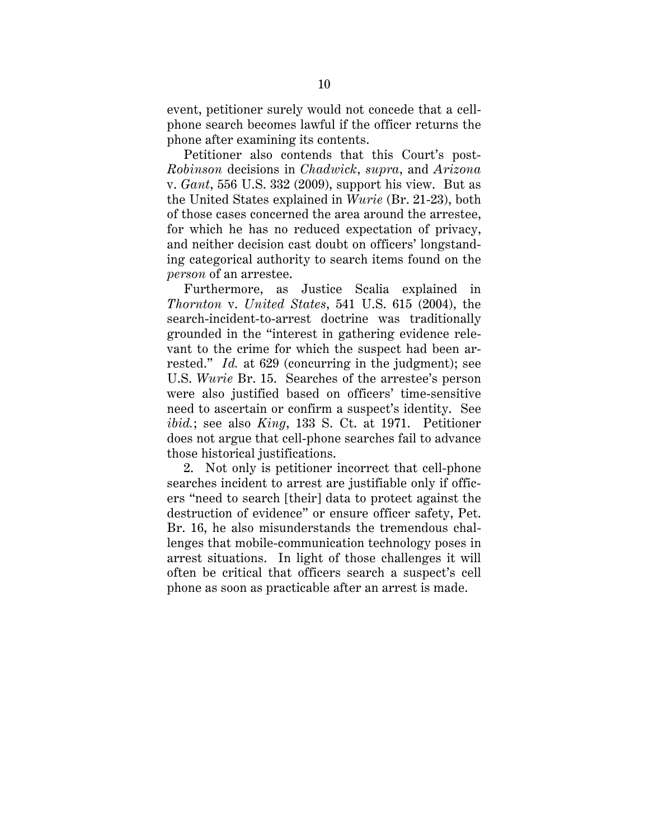<span id="page-17-0"></span>event, petitioner surely would not concede that a cellphone search becomes lawful if the officer returns the phone after examining its contents.

Petitioner also contends that this Court's post-*Robinson* decisions in *Chadwick*, *supra*, and *Arizona*  v. *Gant*, 556 U.S. 332 (2009), support his view. But as the United States explained in *Wurie* (Br. 21-23), both of those cases concerned the area around the arrestee, for which he has no reduced expectation of privacy, and neither decision cast doubt on officers' longstanding categorical authority to search items found on the *person* of an arrestee.

Furthermore, as Justice Scalia explained in *Thornton* v. *United States*, 541 U.S. 615 (2004), the search-incident-to-arrest doctrine was traditionally grounded in the "interest in gathering evidence relevant to the crime for which the suspect had been arrested." *Id.* at 629 (concurring in the judgment); see U.S. *Wurie* Br. 15. Searches of the arrestee's person were also justified based on officers' time-sensitive need to ascertain or confirm a suspect's identity. See *ibid.*; see also *King*, 133 S. Ct. at 1971. Petitioner does not argue that cell-phone searches fail to advance those historical justifications.

2. Not only is petitioner incorrect that cell-phone searches incident to arrest are justifiable only if officers "need to search [their] data to protect against the destruction of evidence" or ensure officer safety, Pet. Br. 16, he also misunderstands the tremendous challenges that mobile-communication technology poses in arrest situations. In light of those challenges it will often be critical that officers search a suspect's cell phone as soon as practicable after an arrest is made.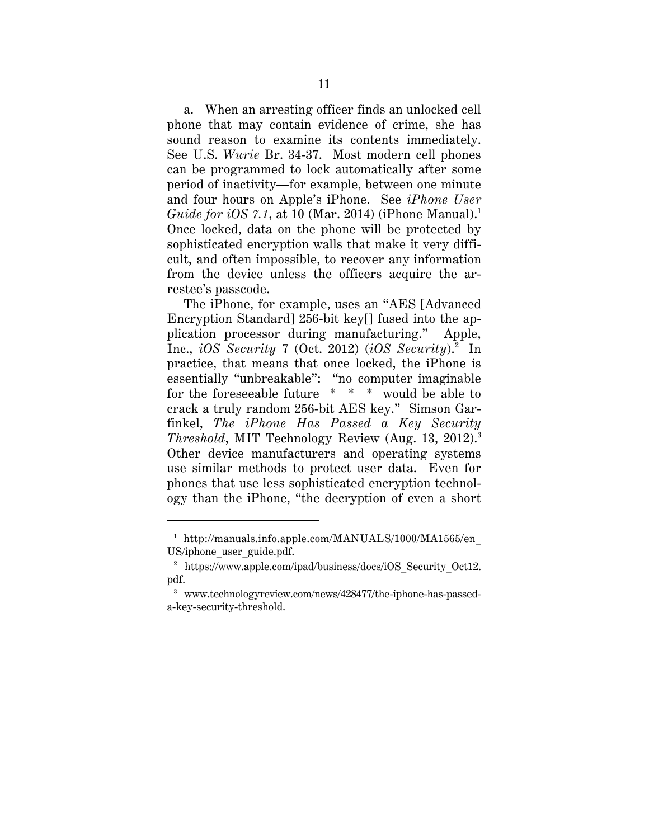*Guide for iOS 7.1*, at 10 (Mar. 2014) (iPhone Manual).<sup>1</sup> restee's passcode. a. When an arresting officer finds an unlocked cell phone that may contain evidence of crime, she has sound reason to examine its contents immediately. See U.S. *Wurie* Br. 34-37. Most modern cell phones can be programmed to lock automatically after some period of inactivity—for example, between one minute and four hours on Apple's iPhone. See *iPhone User*  Once locked, data on the phone will be protected by sophisticated encryption walls that make it very difficult, and often impossible, to recover any information from the device unless the officers acquire the ar-

 Inc., *iOS Security* 7 (Oct. 2012) (*iOS Security*).2 In *Threshold*, MIT Technology Review (Aug. 13, 2012).3 The iPhone, for example, uses an "AES [Advanced] Encryption Standard] 256-bit key[] fused into the application processor during manufacturing." Apple, practice, that means that once locked, the iPhone is essentially "unbreakable": "no computer imaginable for the foreseeable future \* \* \* would be able to crack a truly random 256-bit AES key." Simson Garfinkel, *The iPhone Has Passed a Key Security*  Other device manufacturers and operating systems use similar methods to protect user data. Even for phones that use less sophisticated encryption technology than the iPhone, "the decryption of even a short

<sup>&</sup>lt;sup>1</sup> http://manuals.info.apple.com/MANUALS/1000/MA1565/en US/iphone\_user\_guide.pdf.

<sup>&</sup>lt;sup>2</sup> https://www.apple.com/ipad/business/docs/iOS Security Oct12. pdf.

<sup>3</sup> www.technologyreview.com/news/428477/the-iphone-has-passeda-key-security-threshold.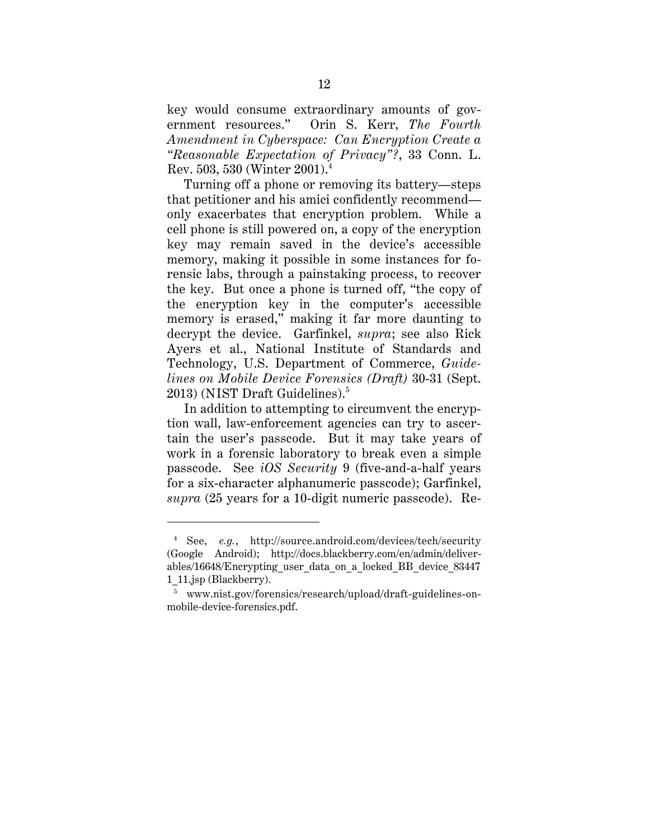*Amendment in Cyberspace: Can Encryption Create a*  key would consume extraordinary amounts of government resources." Orin S. Kerr, *The Fourth "Reasonable Expectation of Privacy"?*, 33 Conn. L. Rev. 503, 530 (Winter 2001).4

2013) (NIST Draft Guidelines).<sup>5</sup> Turning off a phone or removing its battery—steps that petitioner and his amici confidently recommend only exacerbates that encryption problem. While a cell phone is still powered on, a copy of the encryption key may remain saved in the device's accessible memory, making it possible in some instances for forensic labs, through a painstaking process, to recover the key. But once a phone is turned off, "the copy of the encryption key in the computer's accessible memory is erased," making it far more daunting to decrypt the device. Garfinkel, *supra*; see also Rick Ayers et al., National Institute of Standards and Technology, U.S. Department of Commerce, *Guidelines on Mobile Device Forensics (Draft)* 30-31 (Sept.

In addition to attempting to circumvent the encryption wall, law-enforcement agencies can try to ascertain the user's passcode. But it may take years of work in a forensic laboratory to break even a simple passcode. See *iOS Security* 9 (five-and-a-half years for a six-character alphanumeric passcode); Garfinkel, *supra* (25 years for a 10-digit numeric passcode). Re-

<sup>4</sup> See, *e.g.*, http://source.android.com/devices/tech/security (Google Android); http://docs.blackberry.com/en/admin/deliverables/16648/Encrypting user data on a locked BB device 83447 1\_11.jsp (Blackberry).

<sup>5</sup> www.nist.gov/forensics/research/upload/draft-guidelines-onmobile-device-forensics.pdf.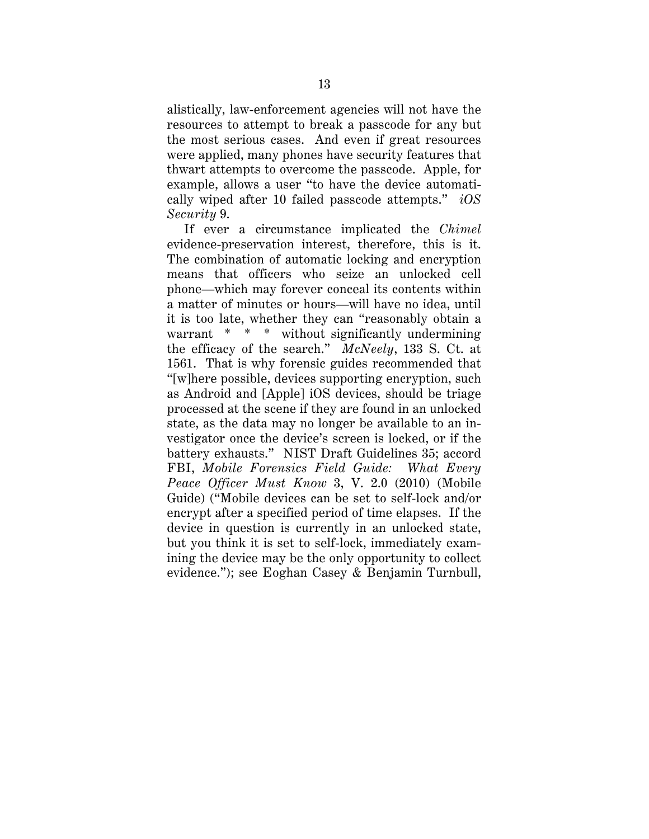<span id="page-20-0"></span> cally wiped after 10 failed passcode attempts." *iOS*  alistically, law-enforcement agencies will not have the resources to attempt to break a passcode for any but the most serious cases. And even if great resources were applied, many phones have security features that thwart attempts to overcome the passcode. Apple, for example, allows a user "to have the device automati-*Security* 9.

 warrant \* \* \* without significantly undermining the efficacy of the search." *McNeely*, 133 S. Ct. at If ever a circumstance implicated the *Chimel*  evidence-preservation interest, therefore, this is it. The combination of automatic locking and encryption means that officers who seize an unlocked cell phone—which may forever conceal its contents within a matter of minutes or hours—will have no idea, until it is too late, whether they can "reasonably obtain a 1561. That is why forensic guides recommended that "[w]here possible, devices supporting encryption, such as Android and [Apple] iOS devices, should be triage processed at the scene if they are found in an unlocked state, as the data may no longer be available to an investigator once the device's screen is locked, or if the battery exhausts." NIST Draft Guidelines 35; accord FBI, *Mobile Forensics Field Guide: What Every Peace Officer Must Know* 3, V. 2.0 (2010) (Mobile Guide) ("Mobile devices can be set to self-lock and/or encrypt after a specified period of time elapses. If the device in question is currently in an unlocked state, but you think it is set to self-lock, immediately examining the device may be the only opportunity to collect evidence."); see Eoghan Casey & Benjamin Turnbull,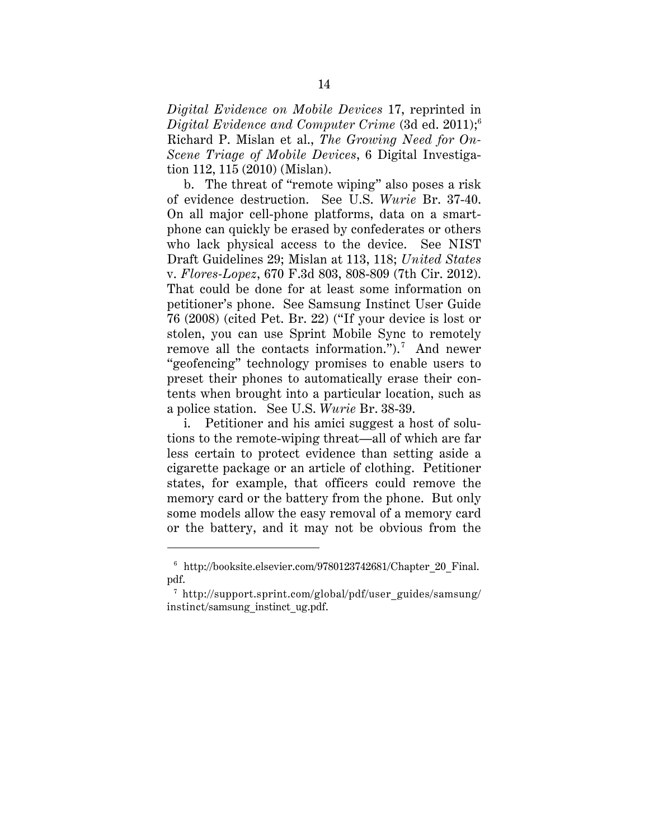<span id="page-21-0"></span>*Digital Evidence on Mobile Devices* 17, reprinted in *Digital Evidence and Computer Crime* (3d ed. 2011);6 Richard P. Mislan et al., *The Growing Need for On-Scene Triage of Mobile Devices*, 6 Digital Investigation 112, 115 (2010) (Mislan).

remove all the contacts information.").<sup>7</sup> And newer b. The threat of "remote wiping" also poses a risk of evidence destruction. See U.S. *Wurie* Br. 37-40. On all major cell-phone platforms, data on a smartphone can quickly be erased by confederates or others who lack physical access to the device. See NIST Draft Guidelines 29; Mislan at 113, 118; *United States*  v. *Flores-Lopez*, 670 F.3d 803, 808-809 (7th Cir. 2012). That could be done for at least some information on petitioner's phone. See Samsung Instinct User Guide 76 (2008) (cited Pet. Br. 22) ("If your device is lost or stolen, you can use Sprint Mobile Sync to remotely "geofencing" technology promises to enable users to preset their phones to automatically erase their contents when brought into a particular location, such as a police station. See U.S. *Wurie* Br. 38-39.

i. Petitioner and his amici suggest a host of solutions to the remote-wiping threat—all of which are far less certain to protect evidence than setting aside a cigarette package or an article of clothing. Petitioner states, for example, that officers could remove the memory card or the battery from the phone. But only some models allow the easy removal of a memory card or the battery, and it may not be obvious from the

<sup>6</sup> http://booksite.elsevier.com/9780123742681/Chapter\_20\_Final. pdf.

<sup>7</sup> http://support.sprint.com/global/pdf/user\_guides/samsung/ instinct/samsung\_instinct\_ug.pdf.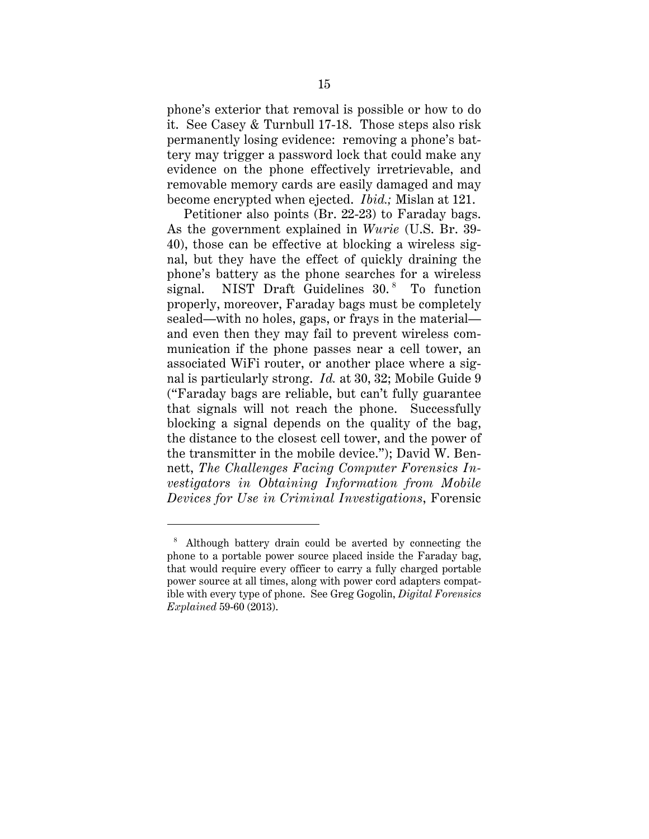it. See Casey & Turnbull 17-18. Those steps also risk phone's exterior that removal is possible or how to do permanently losing evidence: removing a phone's battery may trigger a password lock that could make any evidence on the phone effectively irretrievable, and removable memory cards are easily damaged and may become encrypted when ejected. *Ibid.;* Mislan at 121.

Petitioner also points (Br. 22-23) to Faraday bags. As the government explained in *Wurie* (U.S. Br. 39-40), those can be effective at blocking a wireless signal, but they have the effect of quickly draining the phone's battery as the phone searches for a wireless signal. NIST Draft Guidelines  $30.^8$  To function properly, moreover, Faraday bags must be completely sealed—with no holes, gaps, or frays in the material and even then they may fail to prevent wireless communication if the phone passes near a cell tower, an associated WiFi router, or another place where a signal is particularly strong. *Id.* at 30, 32; Mobile Guide 9 ("Faraday bags are reliable, but can't fully guarantee that signals will not reach the phone. Successfully blocking a signal depends on the quality of the bag, the distance to the closest cell tower, and the power of the transmitter in the mobile device."); David W. Bennett, *The Challenges Facing Computer Forensics Investigators in Obtaining Information from Mobile Devices for Use in Criminal Investigations*, Forensic

<sup>8</sup> Although battery drain could be averted by connecting the phone to a portable power source placed inside the Faraday bag, that would require every officer to carry a fully charged portable power source at all times, along with power cord adapters compatible with every type of phone. See Greg Gogolin, *Digital Forensics Explained* 59-60 (2013).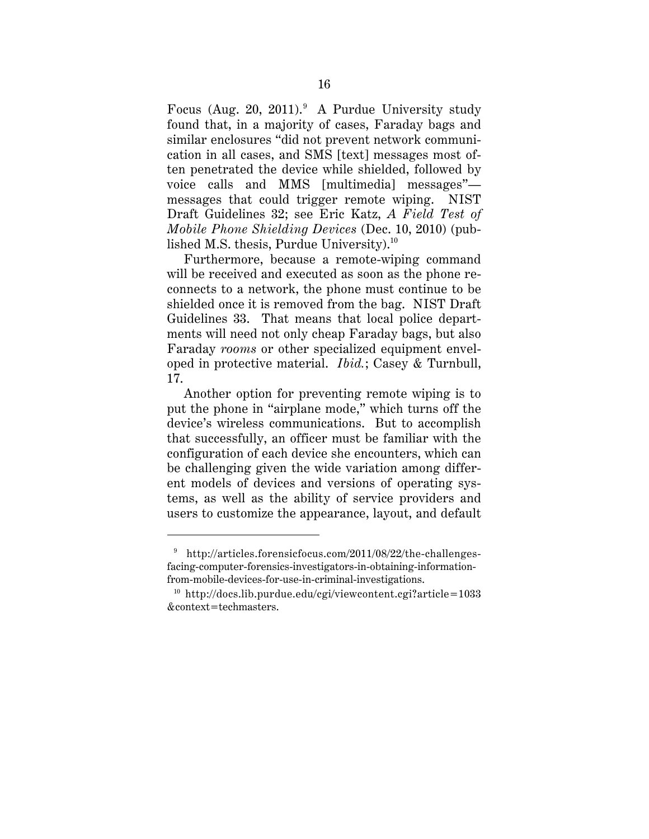Focus (Aug. 20, 2011). A Purdue University study found that, in a majority of cases, Faraday bags and similar enclosures "did not prevent network communication in all cases, and SMS [text] messages most often penetrated the device while shielded, followed by voice calls and MMS [multimedia] messages" messages that could trigger remote wiping. NIST Draft Guidelines 32; see Eric Katz, *A Field Test of Mobile Phone Shielding Devices* (Dec. 10, 2010) (published M.S. thesis, Purdue University). $^{10}$ 

Furthermore, because a remote-wiping command will be received and executed as soon as the phone reconnects to a network, the phone must continue to be shielded once it is removed from the bag. NIST Draft Guidelines 33. That means that local police departments will need not only cheap Faraday bags, but also Faraday *rooms* or other specialized equipment enveloped in protective material. *Ibid.*; Casey & Turnbull, 17.

Another option for preventing remote wiping is to put the phone in "airplane mode," which turns off the device's wireless communications. But to accomplish that successfully, an officer must be familiar with the configuration of each device she encounters, which can be challenging given the wide variation among different models of devices and versions of operating systems, as well as the ability of service providers and users to customize the appearance, layout, and default

http://articles.forensicfocus.com/2011/08/22/the-challengesfacing-computer-forensics-investigators-in-obtaining-informationfrom-mobile-devices-for-use-in-criminal-investigations.<br><sup>10</sup> http://docs.lib.purdue.edu/cgi/viewcontent.cgi?article=1033

<sup>&</sup>amp;context=techmasters.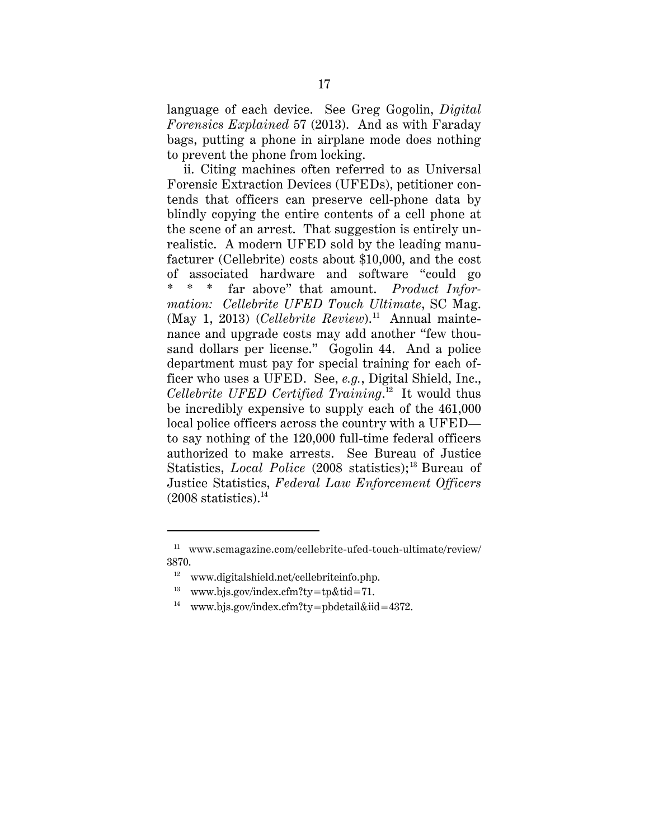language of each device. See Greg Gogolin, *Digital Forensics Explained* 57 (2013). And as with Faraday bags, putting a phone in airplane mode does nothing to prevent the phone from locking.

Statistics, *Local Police* (2008 statistics);<sup>13</sup> Bureau of ii. Citing machines often referred to as Universal Forensic Extraction Devices (UFEDs), petitioner contends that officers can preserve cell-phone data by blindly copying the entire contents of a cell phone at the scene of an arrest. That suggestion is entirely unrealistic. A modern UFED sold by the leading manufacturer (Cellebrite) costs about \$10,000, and the cost of associated hardware and software "could go \* \* \* far above" that amount. *Product Information: Cellebrite UFED Touch Ultimate*, SC Mag. (May 1, 2013) (*Cellebrite Review*).<sup>11</sup> Annual maintenance and upgrade costs may add another "few thousand dollars per license." Gogolin 44. And a police department must pay for special training for each officer who uses a UFED. See, *e.g.*, Digital Shield, Inc., *Cellebrite UFED Certified Training*. 12 It would thus be incredibly expensive to supply each of the 461,000 local police officers across the country with a UFED to say nothing of the 120,000 full-time federal officers authorized to make arrests. See Bureau of Justice Justice Statistics, *Federal Law Enforcement Officers*   $(2008$  statistics).<sup>14</sup>

<sup>11</sup> www.scmagazine.com/cellebrite-ufed-touch-ultimate/review/ 3870.

<sup>&</sup>lt;sup>12</sup> www.digitalshield.net/cellebriteinfo.php.

<sup>&</sup>lt;sup>13</sup> www.bjs.gov/index.cfm?ty=tp&tid=71.

<sup>&</sup>lt;sup>12</sup> www.digitalshield.net/cellebriteinfo.php.<br><sup>13</sup> www.bjs.gov/index.cfm?ty=tp&tid=71.<br><sup>14</sup> www.bjs.gov/index.cfm?ty=pbdetail&iid=4372.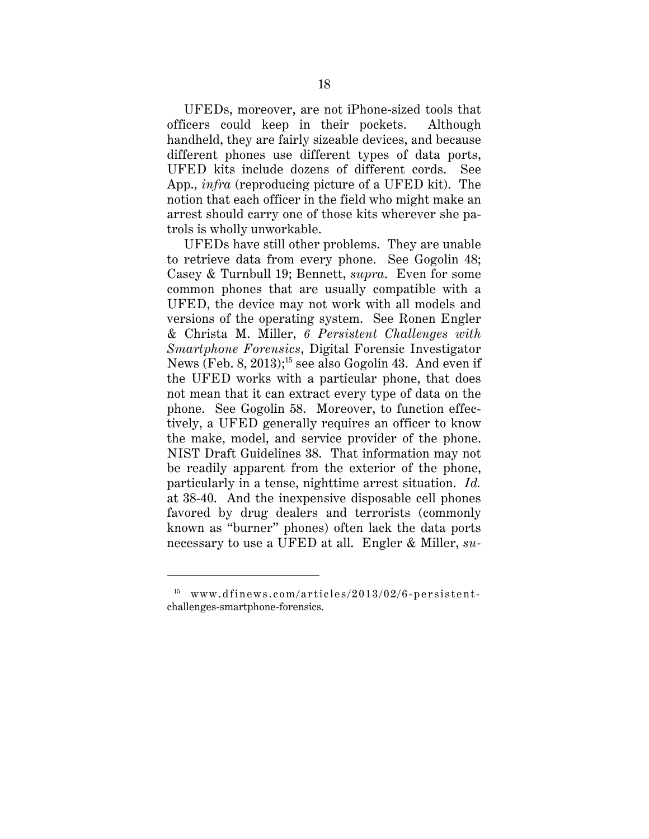UFEDs, moreover, are not iPhone-sized tools that officers could keep in their pockets. Although handheld, they are fairly sizeable devices, and because different phones use different types of data ports, UFED kits include dozens of different cords. See App., *infra* (reproducing picture of a UFED kit). The notion that each officer in the field who might make an arrest should carry one of those kits wherever she patrols is wholly unworkable.

the make, model, and service provider of the phone. UFEDs have still other problems. They are unable to retrieve data from every phone. See Gogolin 48; Casey & Turnbull 19; Bennett, *supra*. Even for some common phones that are usually compatible with a UFED, the device may not work with all models and versions of the operating system. See Ronen Engler & Christa M. Miller, *6 Persistent Challenges with Smartphone Forensics*, Digital Forensic Investigator News (Feb. 8, 2013);<sup>15</sup> see also Gogolin 43. And even if the UFED works with a particular phone, that does not mean that it can extract every type of data on the phone. See Gogolin 58. Moreover, to function effectively, a UFED generally requires an officer to know NIST Draft Guidelines 38. That information may not be readily apparent from the exterior of the phone, particularly in a tense, nighttime arrest situation. *Id.*  at 38-40. And the inexpensive disposable cell phones favored by drug dealers and terrorists (commonly known as "burner" phones) often lack the data ports necessary to use a UFED at all. Engler & Miller, *su-*

 $15$  www.dfinews.com/articles/2013/02/6-persistentchallenges-smartphone-forensics.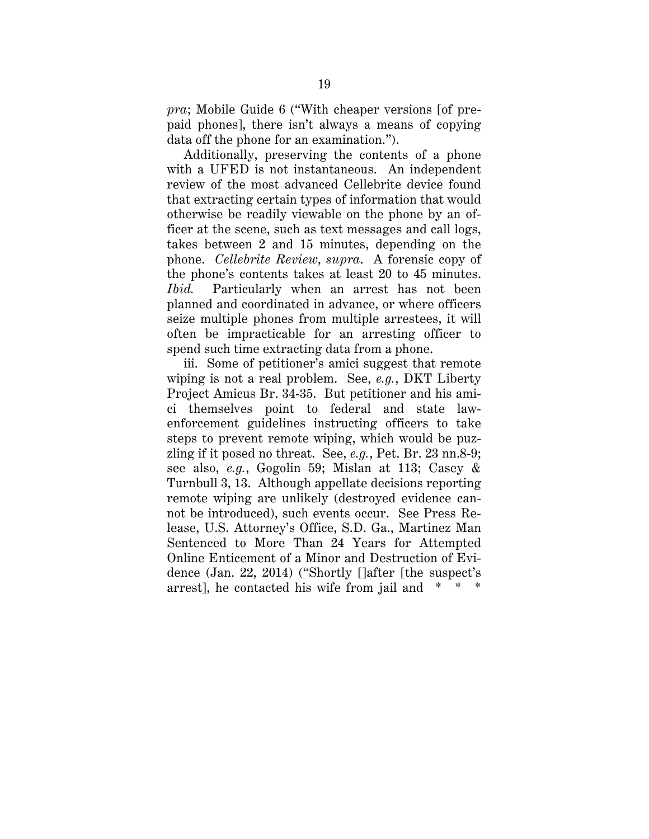*pra*; Mobile Guide 6 ("With cheaper versions [of prepaid phones], there isn't always a means of copying data off the phone for an examination.").

Additionally, preserving the contents of a phone with a UFED is not instantaneous. An independent review of the most advanced Cellebrite device found that extracting certain types of information that would otherwise be readily viewable on the phone by an officer at the scene, such as text messages and call logs, takes between 2 and 15 minutes, depending on the phone. *Cellebrite Review*, *supra*. A forensic copy of the phone's contents takes at least 20 to 45 minutes. *Ibid.* Particularly when an arrest has not been planned and coordinated in advance, or where officers seize multiple phones from multiple arrestees, it will often be impracticable for an arresting officer to spend such time extracting data from a phone.

 arrest], he contacted his wife from jail and \* \* \* iii. Some of petitioner's amici suggest that remote wiping is not a real problem. See, *e.g.*, DKT Liberty Project Amicus Br. 34-35. But petitioner and his amici themselves point to federal and state lawenforcement guidelines instructing officers to take steps to prevent remote wiping, which would be puzzling if it posed no threat. See, *e.g.*, Pet. Br. 23 nn.8-9; see also, *e.g.*, Gogolin 59; Mislan at 113; Casey & Turnbull 3, 13. Although appellate decisions reporting remote wiping are unlikely (destroyed evidence cannot be introduced), such events occur. See Press Release, U.S. Attorney's Office, S.D. Ga., Martinez Man Sentenced to More Than 24 Years for Attempted Online Enticement of a Minor and Destruction of Evidence (Jan. 22, 2014) ("Shortly []after [the suspect's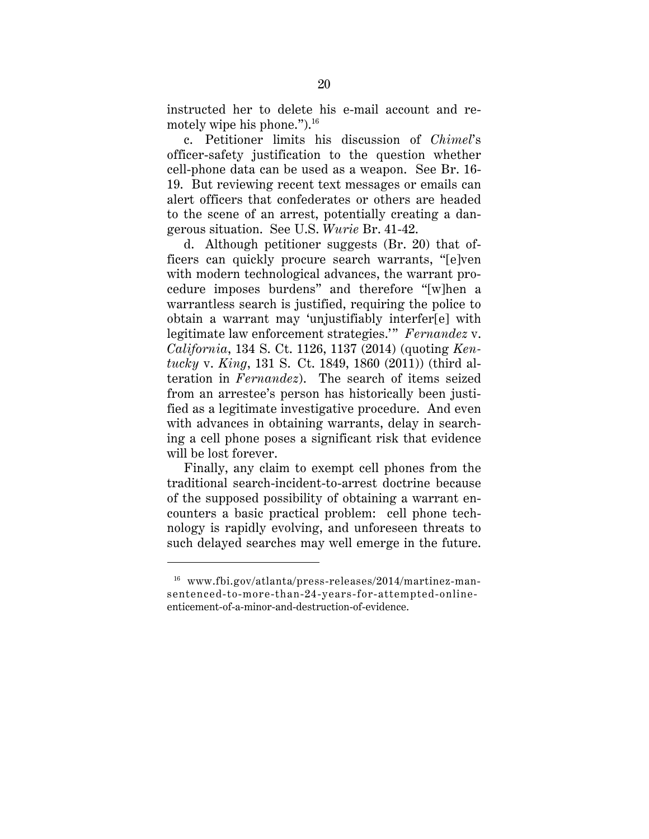<span id="page-27-0"></span>motely wipe his phone."). $^{16}$ instructed her to delete his e-mail account and re-

c. Petitioner limits his discussion of *Chimel*'s officer-safety justification to the question whether cell-phone data can be used as a weapon. See Br. 16- 19. But reviewing recent text messages or emails can alert officers that confederates or others are headed to the scene of an arrest, potentially creating a dangerous situation. See U.S. *Wurie* Br. 41-42.

d. Although petitioner suggests (Br. 20) that officers can quickly procure search warrants, "[e]ven with modern technological advances, the warrant procedure imposes burdens" and therefore "[w]hen a warrantless search is justified, requiring the police to obtain a warrant may 'unjustifiably interfer[e] with legitimate law enforcement strategies.'" *Fernandez* v. *California*, 134 S. Ct. 1126, 1137 (2014) (quoting *Kentucky* v. *King*, 131 S. Ct. 1849, 1860 (2011)) (third alteration in *Fernandez*). The search of items seized from an arrestee's person has historically been justified as a legitimate investigative procedure. And even with advances in obtaining warrants, delay in searching a cell phone poses a significant risk that evidence will be lost forever.

Finally, any claim to exempt cell phones from the traditional search-incident-to-arrest doctrine because of the supposed possibility of obtaining a warrant encounters a basic practical problem: cell phone technology is rapidly evolving, and unforeseen threats to such delayed searches may well emerge in the future.

 16 www.fbi.gov/atlanta/press-releases/2014/martinez-mansentenced-to-more-than-24-years-for-attempted-onlineenticement-of-a-minor-and-destruction-of-evidence.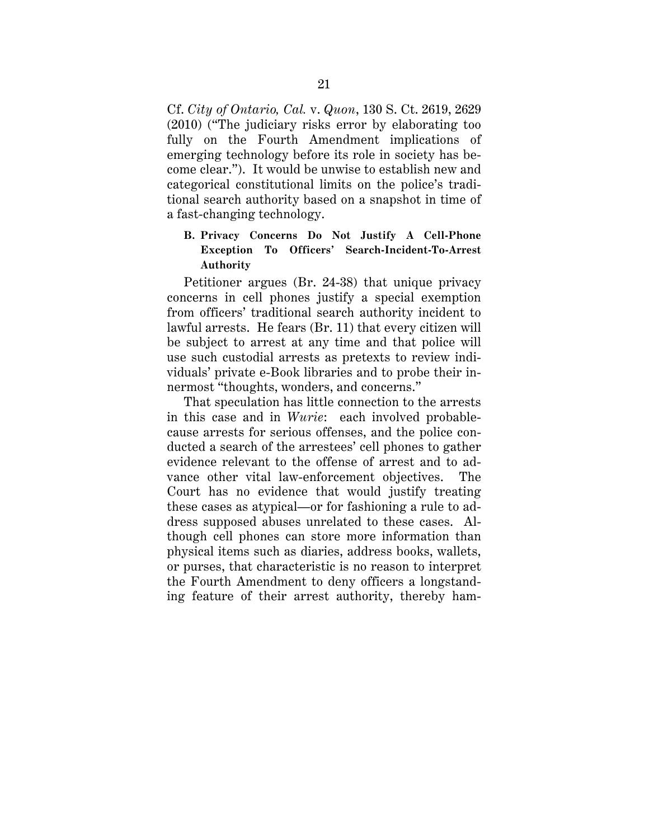<span id="page-28-0"></span>Cf. *City of Ontario, Cal.* v. *Quon*, 130 S. Ct. 2619, 2629 (2010) ("The judiciary risks error by elaborating too fully on the Fourth Amendment implications of emerging technology before its role in society has become clear."). It would be unwise to establish new and categorical constitutional limits on the police's traditional search authority based on a snapshot in time of a fast-changing technology.

# **Exception To Officers' Search-Incident-To-Arrest Authority B. Privacy Concerns Do Not Justify A Cell-Phone**

Petitioner argues (Br. 24-38) that unique privacy concerns in cell phones justify a special exemption from officers' traditional search authority incident to lawful arrests. He fears (Br. 11) that every citizen will be subject to arrest at any time and that police will use such custodial arrests as pretexts to review individuals' private e-Book libraries and to probe their innermost "thoughts, wonders, and concerns."

That speculation has little connection to the arrests in this case and in *Wurie*: each involved probablecause arrests for serious offenses, and the police conducted a search of the arrestees' cell phones to gather evidence relevant to the offense of arrest and to advance other vital law-enforcement objectives. The Court has no evidence that would justify treating these cases as atypical—or for fashioning a rule to address supposed abuses unrelated to these cases. Although cell phones can store more information than physical items such as diaries, address books, wallets, or purses, that characteristic is no reason to interpret the Fourth Amendment to deny officers a longstanding feature of their arrest authority, thereby ham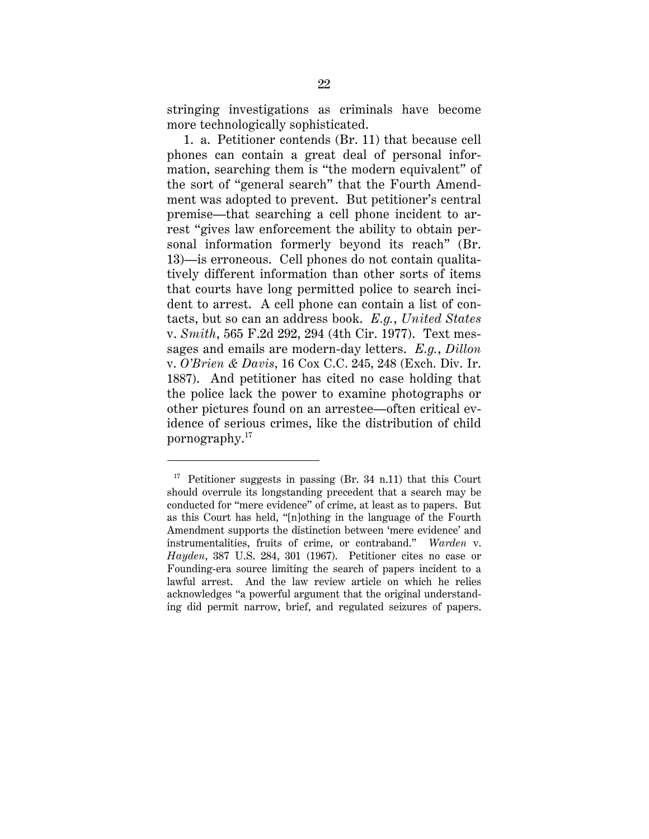<span id="page-29-0"></span>more technologically sophisticated. stringing investigations as criminals have become

 tacts, but so can an address book. *E.g.*, *United States*  1. a. Petitioner contends (Br. 11) that because cell phones can contain a great deal of personal information, searching them is "the modern equivalent" of the sort of "general search" that the Fourth Amendment was adopted to prevent. But petitioner's central premise—that searching a cell phone incident to arrest "gives law enforcement the ability to obtain personal information formerly beyond its reach" (Br. 13)—is erroneous. Cell phones do not contain qualitatively different information than other sorts of items that courts have long permitted police to search incident to arrest. A cell phone can contain a list of conv. *Smith*, 565 F.2d 292, 294 (4th Cir. 1977). Text messages and emails are modern-day letters. *E.g.*, *Dillon*  v. *O'Brien & Davis*, 16 Cox C.C. 245, 248 (Exch. Div. Ir. 1887). And petitioner has cited no case holding that the police lack the power to examine photographs or other pictures found on an arrestee—often critical evidence of serious crimes, like the distribution of child pornography.17

 instrumentalities, fruits of crime, or contraband." *Warden* v. Founding-era source limiting the search of papers incident to a ing did permit narrow, brief, and regulated seizures of papers. <sup>17</sup> Petitioner suggests in passing (Br. 34 n.11) that this Court should overrule its longstanding precedent that a search may be conducted for "mere evidence" of crime, at least as to papers. But as this Court has held, "[n]othing in the language of the Fourth Amendment supports the distinction between 'mere evidence' and *Hayden*, 387 U.S. 284, 301 (1967). Petitioner cites no case or lawful arrest. And the law review article on which he relies acknowledges "a powerful argument that the original understand-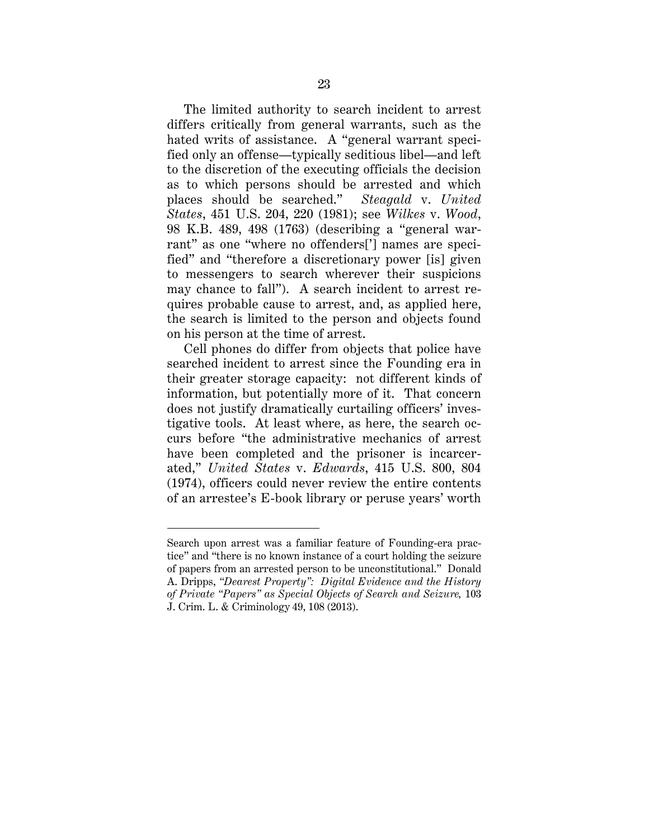<span id="page-30-0"></span>on his person at the time of arrest. The limited authority to search incident to arrest differs critically from general warrants, such as the hated writs of assistance. A "general warrant specified only an offense—typically seditious libel—and left to the discretion of the executing officials the decision as to which persons should be arrested and which places should be searched." *Steagald* v. *United States*, 451 U.S. 204, 220 (1981); see *Wilkes* v. *Wood*, 98 K.B. 489, 498 (1763) (describing a "general warrant" as one "where no offenders['] names are specified" and "therefore a discretionary power [is] given to messengers to search wherever their suspicions may chance to fall"). A search incident to arrest requires probable cause to arrest, and, as applied here, the search is limited to the person and objects found

Cell phones do differ from objects that police have searched incident to arrest since the Founding era in their greater storage capacity: not different kinds of information, but potentially more of it. That concern does not justify dramatically curtailing officers' investigative tools. At least where, as here, the search occurs before "the administrative mechanics of arrest have been completed and the prisoner is incarcerated," *United States* v. *Edwards*, 415 U.S. 800, 804 (1974), officers could never review the entire contents of an arrestee's E-book library or peruse years' worth

 tice" and "there is no known instance of a court holding the seizure Search upon arrest was a familiar feature of Founding-era pracof papers from an arrested person to be unconstitutional." Donald A. Dripps, *"Dearest Property": Digital Evidence and the History of Private "Papers" as Special Objects of Search and Seizure,* 103 J. Crim. L. & Criminology 49, 108 (2013).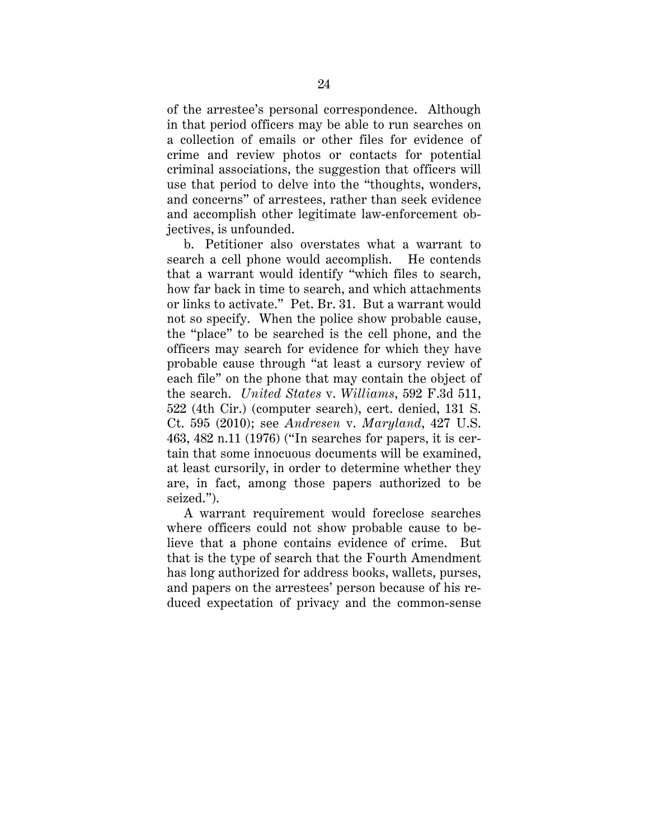<span id="page-31-0"></span>of the arrestee's personal correspondence. Although in that period officers may be able to run searches on a collection of emails or other files for evidence of crime and review photos or contacts for potential criminal associations, the suggestion that officers will use that period to delve into the "thoughts, wonders, and concerns" of arrestees, rather than seek evidence and accomplish other legitimate law-enforcement objectives, is unfounded.

b. Petitioner also overstates what a warrant to search a cell phone would accomplish. He contends that a warrant would identify "which files to search, how far back in time to search, and which attachments or links to activate." Pet. Br. 31. But a warrant would not so specify. When the police show probable cause, the "place" to be searched is the cell phone, and the officers may search for evidence for which they have probable cause through "at least a cursory review of each file" on the phone that may contain the object of the search. *United States* v. *Williams*, 592 F.3d 511, 522 (4th Cir.) (computer search), cert. denied, 131 S. Ct. 595 (2010); see *Andresen* v. *Maryland*, 427 U.S. 463, 482 n.11 (1976) ("In searches for papers, it is certain that some innocuous documents will be examined, at least cursorily, in order to determine whether they are, in fact, among those papers authorized to be seized.").

A warrant requirement would foreclose searches where officers could not show probable cause to believe that a phone contains evidence of crime. But that is the type of search that the Fourth Amendment has long authorized for address books, wallets, purses, and papers on the arrestees' person because of his reduced expectation of privacy and the common-sense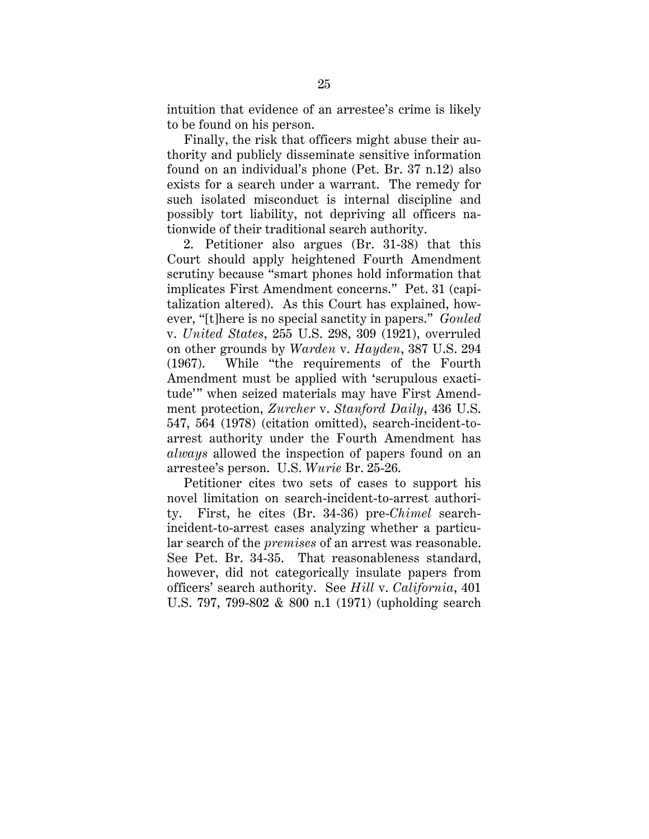<span id="page-32-0"></span>intuition that evidence of an arrestee's crime is likely to be found on his person.

Finally, the risk that officers might abuse their authority and publicly disseminate sensitive information found on an individual's phone (Pet. Br. 37 n.12) also exists for a search under a warrant. The remedy for such isolated misconduct is internal discipline and possibly tort liability, not depriving all officers nationwide of their traditional search authority.

 ever, "[t]here is no special sanctity in papers." *Gouled*  2. Petitioner also argues (Br. 31-38) that this Court should apply heightened Fourth Amendment scrutiny because "smart phones hold information that implicates First Amendment concerns." Pet. 31 (capitalization altered). As this Court has explained, howv. *United States*, 255 U.S. 298, 309 (1921), overruled on other grounds by *Warden* v. *Hayden*, 387 U.S. 294 (1967). While "the requirements of the Fourth Amendment must be applied with 'scrupulous exactitude'" when seized materials may have First Amendment protection, *Zurcher* v. *Stanford Daily*, 436 U.S. 547, 564 (1978) (citation omitted), search-incident-toarrest authority under the Fourth Amendment has *always* allowed the inspection of papers found on an arrestee's person. U.S. *Wurie* Br. 25-26.

Petitioner cites two sets of cases to support his novel limitation on search-incident-to-arrest authority. First, he cites (Br. 34-36) pre-*Chimel* searchincident-to-arrest cases analyzing whether a particular search of the *premises* of an arrest was reasonable. See Pet. Br. 34-35. That reasonableness standard, however, did not categorically insulate papers from officers' search authority. See *Hill* v. *California*, 401 U.S. 797, 799-802 & 800 n.1 (1971) (upholding search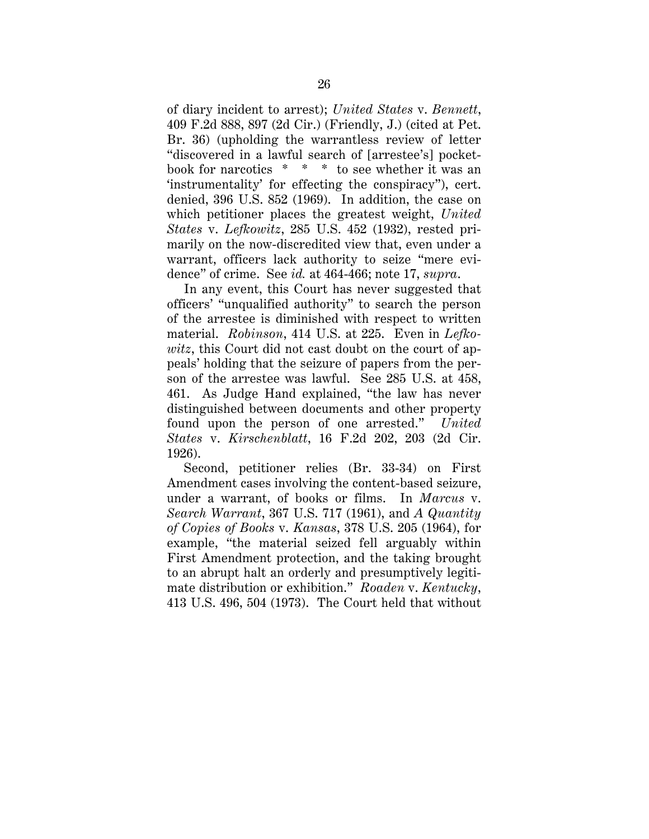<span id="page-33-0"></span> book for narcotics \* \* \* to see whether it was an of diary incident to arrest); *United States* v. *Bennett*, 409 F.2d 888, 897 (2d Cir.) (Friendly, J.) (cited at Pet. Br. 36) (upholding the warrantless review of letter "discovered in a lawful search of [arrestee's] pocket-'instrumentality' for effecting the conspiracy"), cert. denied, 396 U.S. 852 (1969). In addition, the case on which petitioner places the greatest weight, *United States* v. *Lefkowitz*, 285 U.S. 452 (1932), rested primarily on the now-discredited view that, even under a warrant, officers lack authority to seize "mere evidence" of crime. See *id.* at 464-466; note 17, *supra*.

In any event, this Court has never suggested that officers' "unqualified authority" to search the person of the arrestee is diminished with respect to written material. *Robinson*, 414 U.S. at 225. Even in *Lefkowitz*, this Court did not cast doubt on the court of appeals' holding that the seizure of papers from the person of the arrestee was lawful. See 285 U.S. at 458, 461. As Judge Hand explained, "the law has never distinguished between documents and other property found upon the person of one arrested." *United States* v. *Kirschenblatt*, 16 F.2d 202, 203 (2d Cir. 1926).

Second, petitioner relies (Br. 33-34) on First Amendment cases involving the content-based seizure, under a warrant, of books or films. In *Marcus* v. *Search Warrant*, 367 U.S. 717 (1961), and *A Quantity of Copies of Books* v. *Kansas*, 378 U.S. 205 (1964), for example, "the material seized fell arguably within First Amendment protection, and the taking brought to an abrupt halt an orderly and presumptively legitimate distribution or exhibition." *Roaden* v. *Kentucky*, 413 U.S. 496, 504 (1973). The Court held that without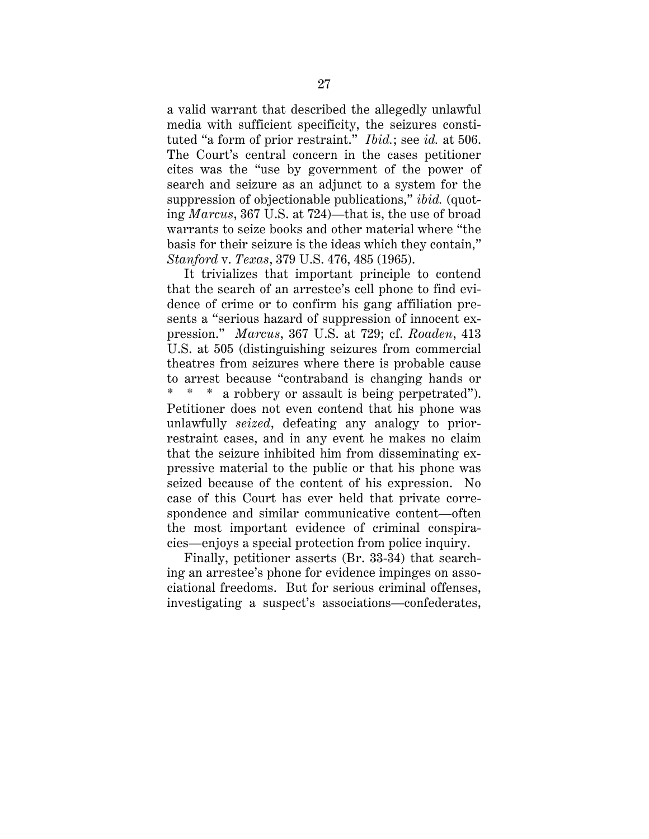<span id="page-34-0"></span> tuted "a form of prior restraint." *Ibid.*; see *id.* at 506. a valid warrant that described the allegedly unlawful media with sufficient specificity, the seizures consti-The Court's central concern in the cases petitioner cites was the "use by government of the power of search and seizure as an adjunct to a system for the suppression of objectionable publications," *ibid.* (quoting *Marcus*, 367 U.S. at 724)—that is, the use of broad warrants to seize books and other material where "the basis for their seizure is the ideas which they contain," *Stanford* v. *Texas*, 379 U.S. 476, 485 (1965).

 pression." *Marcus*, 367 U.S. at 729; cf. *Roaden*, 413 \* \* \* a robbery or assault is being perpetrated"). It trivializes that important principle to contend that the search of an arrestee's cell phone to find evidence of crime or to confirm his gang affiliation presents a "serious hazard of suppression of innocent ex-U.S. at 505 (distinguishing seizures from commercial theatres from seizures where there is probable cause to arrest because "contraband is changing hands or Petitioner does not even contend that his phone was unlawfully *seized*, defeating any analogy to priorrestraint cases, and in any event he makes no claim that the seizure inhibited him from disseminating expressive material to the public or that his phone was seized because of the content of his expression. No case of this Court has ever held that private correspondence and similar communicative content—often the most important evidence of criminal conspiracies—enjoys a special protection from police inquiry.

Finally, petitioner asserts (Br. 33-34) that searching an arrestee's phone for evidence impinges on associational freedoms. But for serious criminal offenses, investigating a suspect's associations—confederates,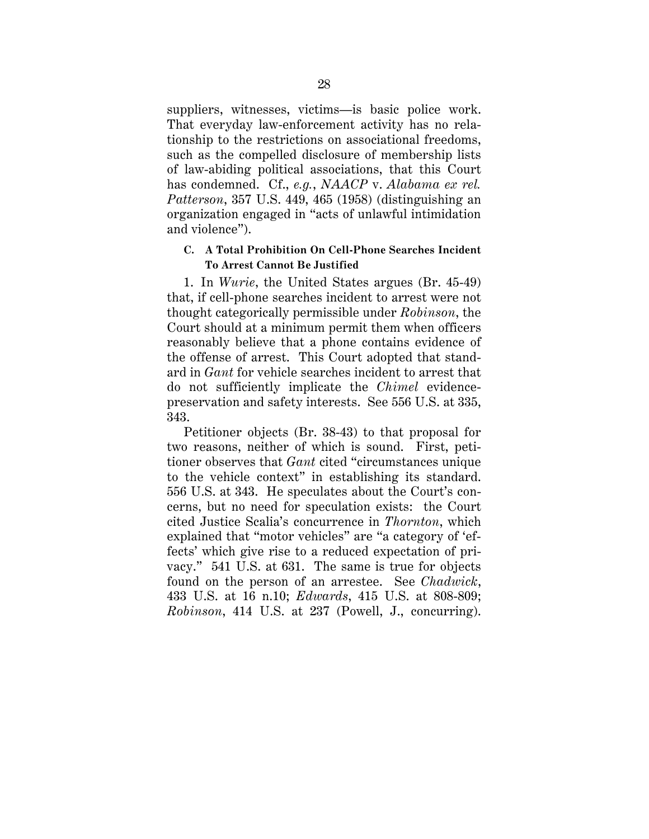<span id="page-35-0"></span>suppliers, witnesses, victims—is basic police work. That everyday law-enforcement activity has no relationship to the restrictions on associational freedoms, such as the compelled disclosure of membership lists of law-abiding political associations, that this Court has condemned. Cf., *e.g.*, *NAACP* v. *Alabama ex rel. Patterson*, 357 U.S. 449, 465 (1958) (distinguishing an organization engaged in "acts of unlawful intimidation and violence").

### **C. A Total Prohibition On Cell-Phone Searches Incident To Arrest Cannot Be Justified**

1. In *Wurie*, the United States argues (Br. 45-49) that, if cell-phone searches incident to arrest were not thought categorically permissible under *Robinson*, the Court should at a minimum permit them when officers reasonably believe that a phone contains evidence of the offense of arrest. This Court adopted that standard in *Gant* for vehicle searches incident to arrest that do not sufficiently implicate the *Chimel* evidencepreservation and safety interests. See 556 U.S. at 335, 343.

Petitioner objects (Br. 38-43) to that proposal for two reasons, neither of which is sound. First, petitioner observes that *Gant* cited "circumstances unique to the vehicle context" in establishing its standard. 556 U.S. at 343. He speculates about the Court's concerns, but no need for speculation exists: the Court cited Justice Scalia's concurrence in *Thornton*, which explained that "motor vehicles" are "a category of 'effects' which give rise to a reduced expectation of privacy." 541 U.S. at 631. The same is true for objects found on the person of an arrestee. See *Chadwick*, 433 U.S. at 16 n.10; *Edwards*, 415 U.S. at 808-809; *Robinson*, 414 U.S. at 237 (Powell, J., concurring).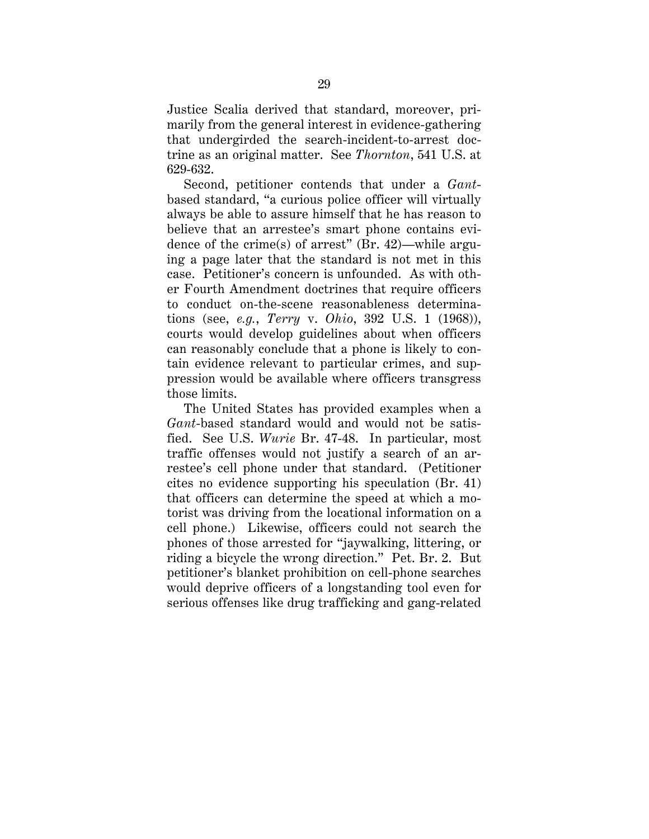<span id="page-36-0"></span>Justice Scalia derived that standard, moreover, primarily from the general interest in evidence-gathering that undergirded the search-incident-to-arrest doctrine as an original matter. See *Thornton*, 541 U.S. at 629-632.

Second, petitioner contends that under a *Gant*based standard, "a curious police officer will virtually always be able to assure himself that he has reason to believe that an arrestee's smart phone contains evidence of the crime(s) of arrest" (Br. 42)—while arguing a page later that the standard is not met in this case. Petitioner's concern is unfounded. As with other Fourth Amendment doctrines that require officers to conduct on-the-scene reasonableness determinations (see, *e.g.*, *Terry* v. *Ohio*, 392 U.S. 1 (1968)), courts would develop guidelines about when officers can reasonably conclude that a phone is likely to contain evidence relevant to particular crimes, and suppression would be available where officers transgress those limits.

The United States has provided examples when a *Gant*-based standard would and would not be satisfied. See U.S. *Wurie* Br. 47-48. In particular, most traffic offenses would not justify a search of an arrestee's cell phone under that standard. (Petitioner cites no evidence supporting his speculation (Br. 41) that officers can determine the speed at which a motorist was driving from the locational information on a cell phone.) Likewise, officers could not search the phones of those arrested for "jaywalking, littering, or riding a bicycle the wrong direction." Pet. Br. 2. But petitioner's blanket prohibition on cell-phone searches would deprive officers of a longstanding tool even for serious offenses like drug trafficking and gang-related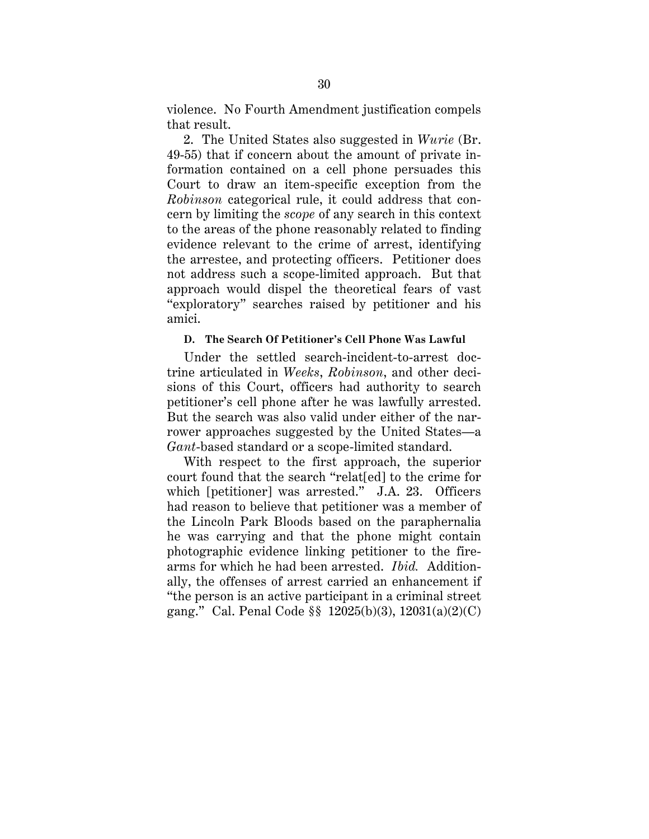<span id="page-37-0"></span>violence. No Fourth Amendment justification compels that result.

2. The United States also suggested in *Wurie* (Br. 49-55) that if concern about the amount of private information contained on a cell phone persuades this Court to draw an item-specific exception from the *Robinson* categorical rule, it could address that concern by limiting the *scope* of any search in this context to the areas of the phone reasonably related to finding evidence relevant to the crime of arrest, identifying the arrestee, and protecting officers. Petitioner does not address such a scope-limited approach. But that approach would dispel the theoretical fears of vast "exploratory" searches raised by petitioner and his amici.

#### **D. The Search Of Petitioner's Cell Phone Was Lawful**

petitioner's cell phone after he was lawfully arrested. Under the settled search-incident-to-arrest doctrine articulated in *Weeks*, *Robinson*, and other decisions of this Court, officers had authority to search But the search was also valid under either of the narrower approaches suggested by the United States—a *Gant*-based standard or a scope-limited standard.

 arms for which he had been arrested. *Ibid.* Addition-With respect to the first approach, the superior court found that the search "relat[ed] to the crime for which [petitioner] was arrested." J.A. 23. Officers had reason to believe that petitioner was a member of the Lincoln Park Bloods based on the paraphernalia he was carrying and that the phone might contain photographic evidence linking petitioner to the fireally, the offenses of arrest carried an enhancement if "the person is an active participant in a criminal street gang." Cal. Penal Code §§ 12025(b)(3), 12031(a)(2)(C)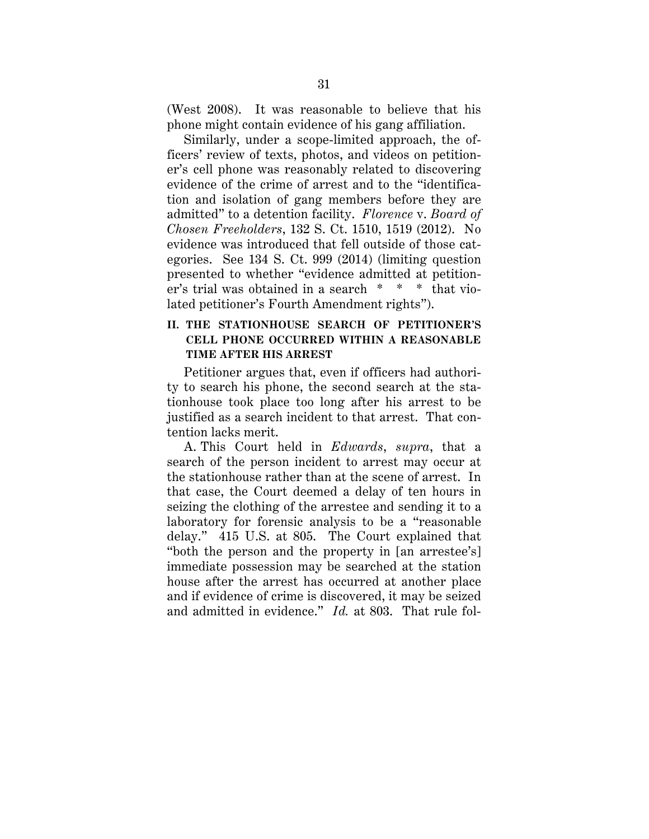<span id="page-38-0"></span>(West 2008). It was reasonable to believe that his phone might contain evidence of his gang affiliation.

 er's trial was obtained in a search \* \* \* that vio-Similarly, under a scope-limited approach, the officers' review of texts, photos, and videos on petitioner's cell phone was reasonably related to discovering evidence of the crime of arrest and to the "identification and isolation of gang members before they are admitted" to a detention facility. *Florence* v. *Board of Chosen Freeholders*, 132 S. Ct. 1510, 1519 (2012). No evidence was introduced that fell outside of those categories. See 134 S. Ct. 999 (2014) (limiting question presented to whether "evidence admitted at petitionlated petitioner's Fourth Amendment rights").

## **II. THE STATIONHOUSE SEARCH OF PETITIONER'S CELL PHONE OCCURRED WITHIN A REASONABLE TIME AFTER HIS ARREST**

Petitioner argues that, even if officers had authority to search his phone, the second search at the stationhouse took place too long after his arrest to be justified as a search incident to that arrest. That contention lacks merit.

A. This Court held in *Edwards*, *supra*, that a search of the person incident to arrest may occur at the stationhouse rather than at the scene of arrest. In that case, the Court deemed a delay of ten hours in seizing the clothing of the arrestee and sending it to a laboratory for forensic analysis to be a "reasonable delay." 415 U.S. at 805. The Court explained that "both the person and the property in [an arrestee's] immediate possession may be searched at the station house after the arrest has occurred at another place and if evidence of crime is discovered, it may be seized and admitted in evidence." *Id.* at 803. That rule fol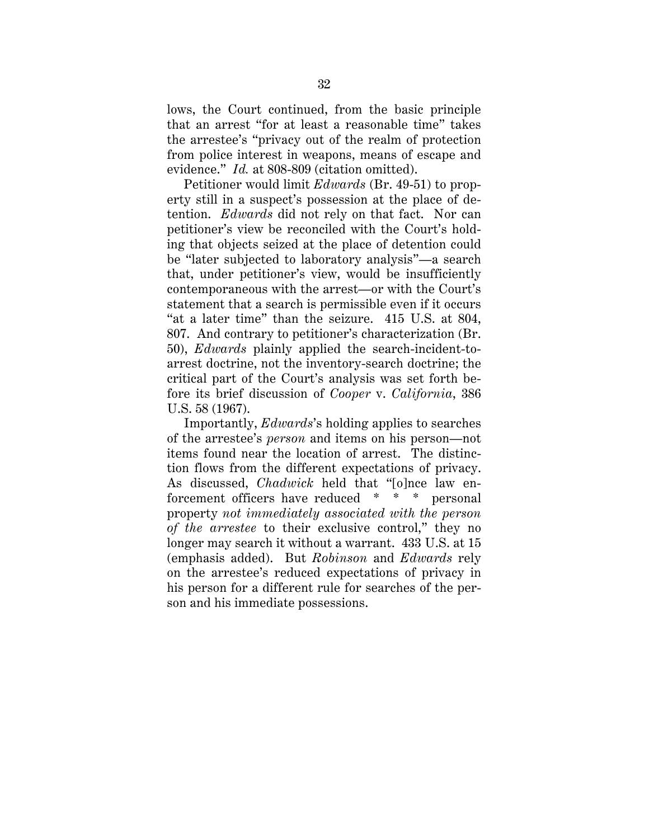<span id="page-39-0"></span>lows, the Court continued, from the basic principle that an arrest "for at least a reasonable time" takes the arrestee's "privacy out of the realm of protection from police interest in weapons, means of escape and evidence." *Id.* at 808-809 (citation omitted).

 Petitioner would limit *Edwards* (Br. 49-51) to property still in a suspect's possession at the place of detention. *Edwards* did not rely on that fact. Nor can petitioner's view be reconciled with the Court's holding that objects seized at the place of detention could be "later subjected to laboratory analysis"—a search that, under petitioner's view, would be insufficiently contemporaneous with the arrest—or with the Court's statement that a search is permissible even if it occurs "at a later time" than the seizure. 415 U.S. at 804, 807. And contrary to petitioner's characterization (Br. 50), *Edwards* plainly applied the search-incident-toarrest doctrine, not the inventory-search doctrine; the critical part of the Court's analysis was set forth before its brief discussion of *Cooper* v. *California*, 386 U.S. 58 (1967).

 forcement officers have reduced \* \* \* personal Importantly, *Edwards*'s holding applies to searches of the arrestee's *person* and items on his person—not items found near the location of arrest. The distinction flows from the different expectations of privacy. As discussed, *Chadwick* held that "[o]nce law enproperty *not immediately associated with the person of the arrestee* to their exclusive control," they no longer may search it without a warrant. 433 U.S. at 15 (emphasis added). But *Robinson* and *Edwards* rely on the arrestee's reduced expectations of privacy in his person for a different rule for searches of the person and his immediate possessions.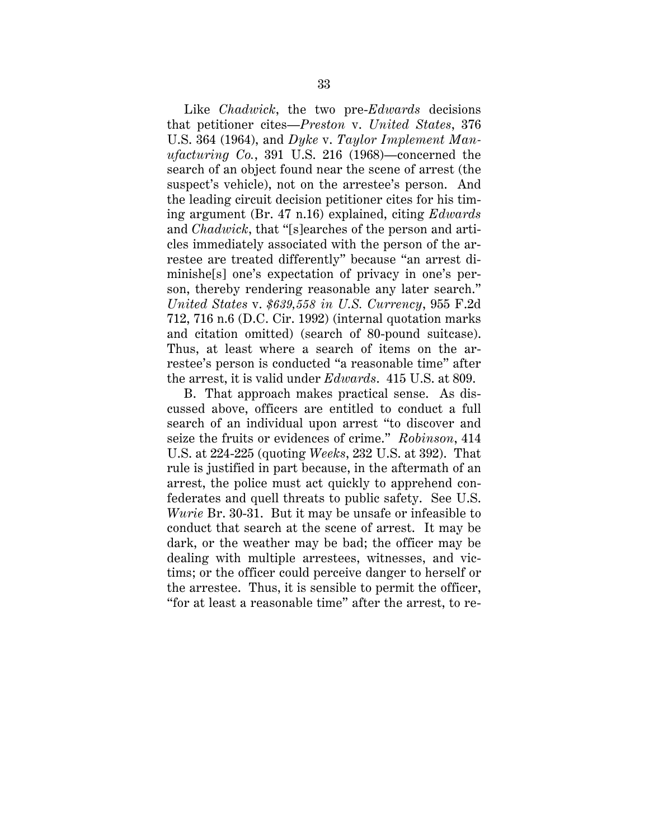<span id="page-40-0"></span> son, thereby rendering reasonable any later search." Like *Chadwick*, the two pre-*Edwards* decisions that petitioner cites—*Preston* v. *United States*, 376 U.S. 364 (1964), and *Dyke* v. *Taylor Implement Manufacturing Co.*, 391 U.S. 216 (1968)—concerned the search of an object found near the scene of arrest (the suspect's vehicle), not on the arrestee's person. And the leading circuit decision petitioner cites for his timing argument (Br. 47 n.16) explained, citing *Edwards*  and *Chadwick*, that "[s]earches of the person and articles immediately associated with the person of the arrestee are treated differently" because "an arrest diminishe[s] one's expectation of privacy in one's per-*United States* v. *\$639,558 in U.S. Currency*, 955 F.2d 712, 716 n.6 (D.C. Cir. 1992) (internal quotation marks and citation omitted) (search of 80-pound suitcase). Thus, at least where a search of items on the arrestee's person is conducted "a reasonable time" after the arrest, it is valid under *Edwards*. 415 U.S. at 809.

 seize the fruits or evidences of crime." *Robinson*, 414 B. That approach makes practical sense. As discussed above, officers are entitled to conduct a full search of an individual upon arrest "to discover and U.S. at 224-225 (quoting *Weeks*, 232 U.S. at 392). That rule is justified in part because, in the aftermath of an arrest, the police must act quickly to apprehend confederates and quell threats to public safety. See U.S. *Wurie* Br. 30-31. But it may be unsafe or infeasible to conduct that search at the scene of arrest. It may be dark, or the weather may be bad; the officer may be dealing with multiple arrestees, witnesses, and victims; or the officer could perceive danger to herself or the arrestee. Thus, it is sensible to permit the officer, "for at least a reasonable time" after the arrest, to re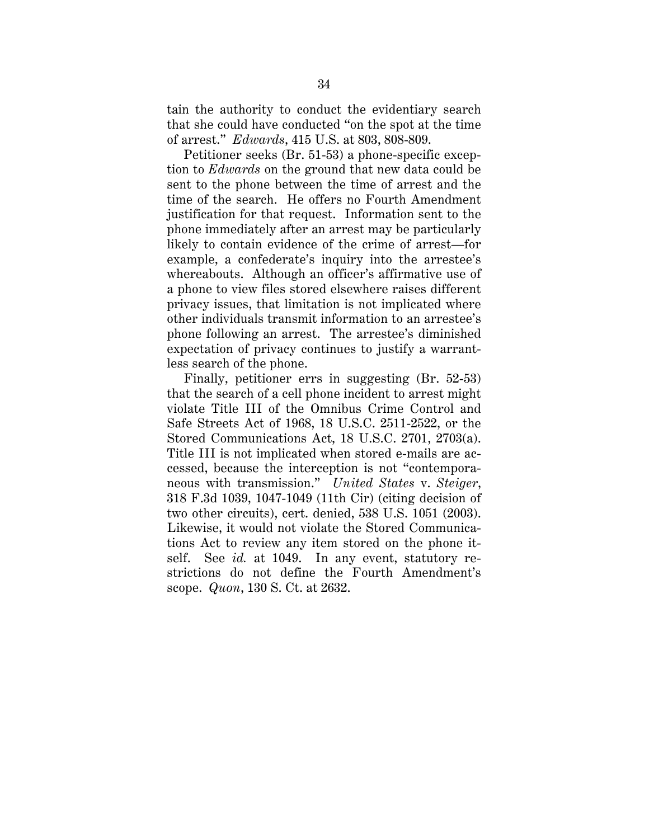<span id="page-41-0"></span>tain the authority to conduct the evidentiary search that she could have conducted "on the spot at the time of arrest." *Edwards*, 415 U.S. at 803, 808-809.

Petitioner seeks (Br. 51-53) a phone-specific exception to *Edwards* on the ground that new data could be sent to the phone between the time of arrest and the time of the search. He offers no Fourth Amendment justification for that request. Information sent to the phone immediately after an arrest may be particularly likely to contain evidence of the crime of arrest—for example, a confederate's inquiry into the arrestee's whereabouts. Although an officer's affirmative use of a phone to view files stored elsewhere raises different privacy issues, that limitation is not implicated where other individuals transmit information to an arrestee's phone following an arrest. The arrestee's diminished expectation of privacy continues to justify a warrantless search of the phone.

 scope. *Quon*, 130 S. Ct. at 2632. Finally, petitioner errs in suggesting (Br. 52-53) that the search of a cell phone incident to arrest might violate Title III of the Omnibus Crime Control and Safe Streets Act of 1968, 18 U.S.C. 2511-2522, or the Stored Communications Act, 18 U.S.C. 2701, 2703(a). Title III is not implicated when stored e-mails are accessed, because the interception is not "contemporaneous with transmission." *United States* v. *Steiger*, 318 F.3d 1039, 1047-1049 (11th Cir) (citing decision of two other circuits), cert. denied, 538 U.S. 1051 (2003). Likewise, it would not violate the Stored Communications Act to review any item stored on the phone itself. See *id.* at 1049. In any event, statutory restrictions do not define the Fourth Amendment's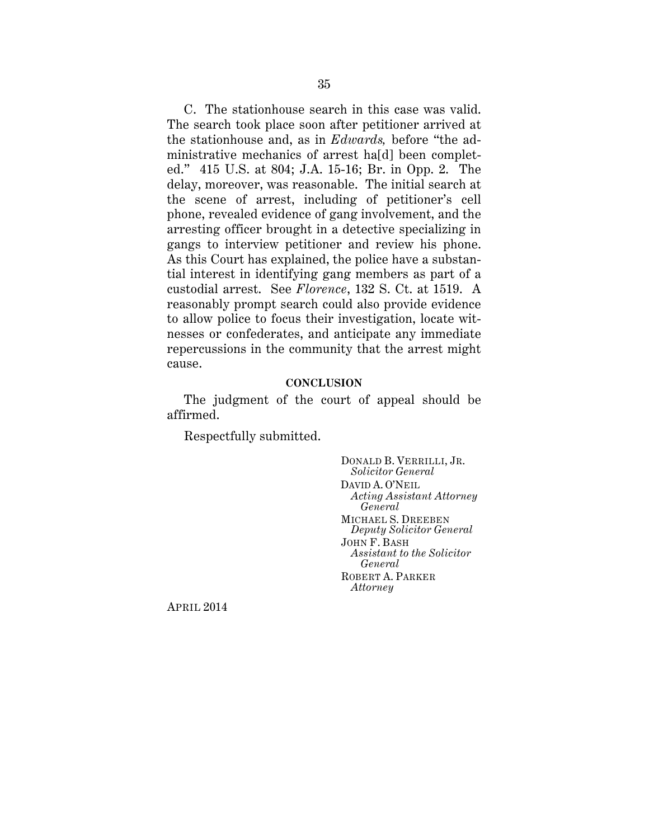<span id="page-42-0"></span>gangs to interview petitioner and review his phone. C. The stationhouse search in this case was valid. The search took place soon after petitioner arrived at the stationhouse and, as in *Edwards,* before "the administrative mechanics of arrest ha[d] been completed." 415 U.S. at 804; J.A. 15-16; Br. in Opp. 2. The delay, moreover, was reasonable. The initial search at the scene of arrest, including of petitioner's cell phone, revealed evidence of gang involvement, and the arresting officer brought in a detective specializing in As this Court has explained, the police have a substantial interest in identifying gang members as part of a custodial arrest. See *Florence*, 132 S. Ct. at 1519. A reasonably prompt search could also provide evidence to allow police to focus their investigation, locate witnesses or confederates, and anticipate any immediate repercussions in the community that the arrest might cause.

#### **CONCLUSION**

The judgment of the court of appeal should be affirmed.

Respectfully submitted.

DONALD B. VERRILLI, JR. *Solicitor General*  DAVID A. O'NEIL *Acting Assistant Attorney General*  MICHAEL S. DREEBEN *Deputy Solicitor General*  JOHN F. BASH *Assistant to the Solicitor General*  ROBERT A. PARKER *Attorney* 

APRIL 2014